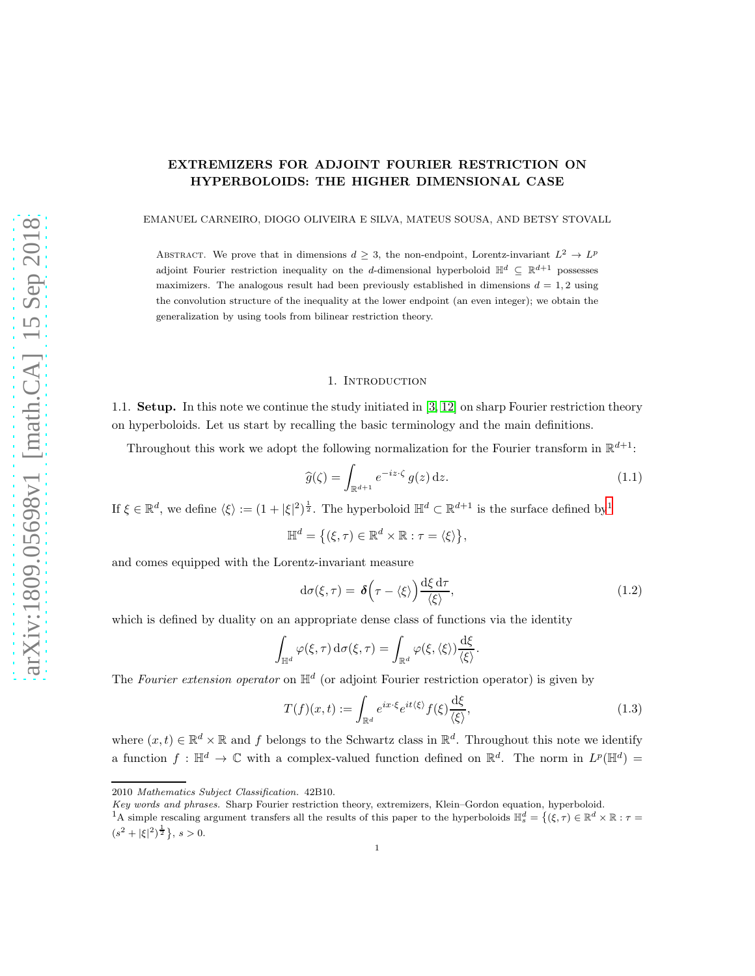# EXTREMIZERS FOR ADJOINT FOURIER RESTRICTION ON HYPERBOLOIDS: THE HIGHER DIMENSIONAL CASE

EMANUEL CARNEIRO, DIOGO OLIVEIRA E SILVA, MATEUS SOUSA, AND BETSY STOVALL

ABSTRACT. We prove that in dimensions  $d \geq 3$ , the non-endpoint, Lorentz-invariant  $L^2 \to L^p$ adjoint Fourier restriction inequality on the d-dimensional hyperboloid  $\mathbb{H}^d \subseteq \mathbb{R}^{d+1}$  possesses maximizers. The analogous result had been previously established in dimensions  $d = 1, 2$  using the convolution structure of the inequality at the lower endpoint (an even integer); we obtain the generalization by using tools from bilinear restriction theory.

### 1. INTRODUCTION

1.1. Setup. In this note we continue the study initiated in [\[3,](#page-18-0) [12\]](#page-19-0) on sharp Fourier restriction theory on hyperboloids. Let us start by recalling the basic terminology and the main definitions.

Throughout this work we adopt the following normalization for the Fourier transform in  $\mathbb{R}^{d+1}$ :

<span id="page-0-1"></span>
$$
\widehat{g}(\zeta) = \int_{\mathbb{R}^{d+1}} e^{-iz\cdot\zeta} g(z) \, \mathrm{d}z. \tag{1.1}
$$

If  $\xi \in \mathbb{R}^d$ , we define  $\langle \xi \rangle := (1 + |\xi|^2)^{\frac{1}{2}}$  $\langle \xi \rangle := (1 + |\xi|^2)^{\frac{1}{2}}$  $\langle \xi \rangle := (1 + |\xi|^2)^{\frac{1}{2}}$ . The hyperboloid  $\mathbb{H}^d \subset \mathbb{R}^{d+1}$  is the surface defined by<sup>1</sup>

$$
\mathbb{H}^d = \big\{ (\xi, \tau) \in \mathbb{R}^d \times \mathbb{R} : \tau = \langle \xi \rangle \big\},\
$$

and comes equipped with the Lorentz-invariant measure

$$
d\sigma(\xi,\tau) = \delta\left(\tau - \langle \xi \rangle\right) \frac{d\xi d\tau}{\langle \xi \rangle},\tag{1.2}
$$

which is defined by duality on an appropriate dense class of functions via the identity

$$
\int_{\mathbb{H}^d} \varphi(\xi,\tau) d\sigma(\xi,\tau) = \int_{\mathbb{R}^d} \varphi(\xi,\langle \xi \rangle) \frac{d\xi}{\langle \xi \rangle}.
$$

The Fourier extension operator on  $\mathbb{H}^d$  (or adjoint Fourier restriction operator) is given by

<span id="page-0-2"></span>
$$
T(f)(x,t) := \int_{\mathbb{R}^d} e^{ix \cdot \xi} e^{it\langle \xi \rangle} f(\xi) \frac{\mathrm{d}\xi}{\langle \xi \rangle},\tag{1.3}
$$

where  $(x,t) \in \mathbb{R}^d \times \mathbb{R}$  and f belongs to the Schwartz class in  $\mathbb{R}^d$ . Throughout this note we identify a function  $f: \mathbb{H}^d \to \mathbb{C}$  with a complex-valued function defined on  $\mathbb{R}^d$ . The norm in  $L^p(\mathbb{H}^d)$  =

<sup>2010</sup> *Mathematics Subject Classification.* 42B10.

*Key words and phrases.* Sharp Fourier restriction theory, extremizers, Klein–Gordon equation, hyperboloid.

<span id="page-0-0"></span><sup>&</sup>lt;sup>1</sup>A simple rescaling argument transfers all the results of this paper to the hyperboloids  $\mathbb{H}_s^d = \{(\xi, \tau) \in \mathbb{R}^d \times \mathbb{R} : \tau =$  $(s^2 + |\xi|^2)^{\frac{1}{2}}$ ,  $s > 0$ .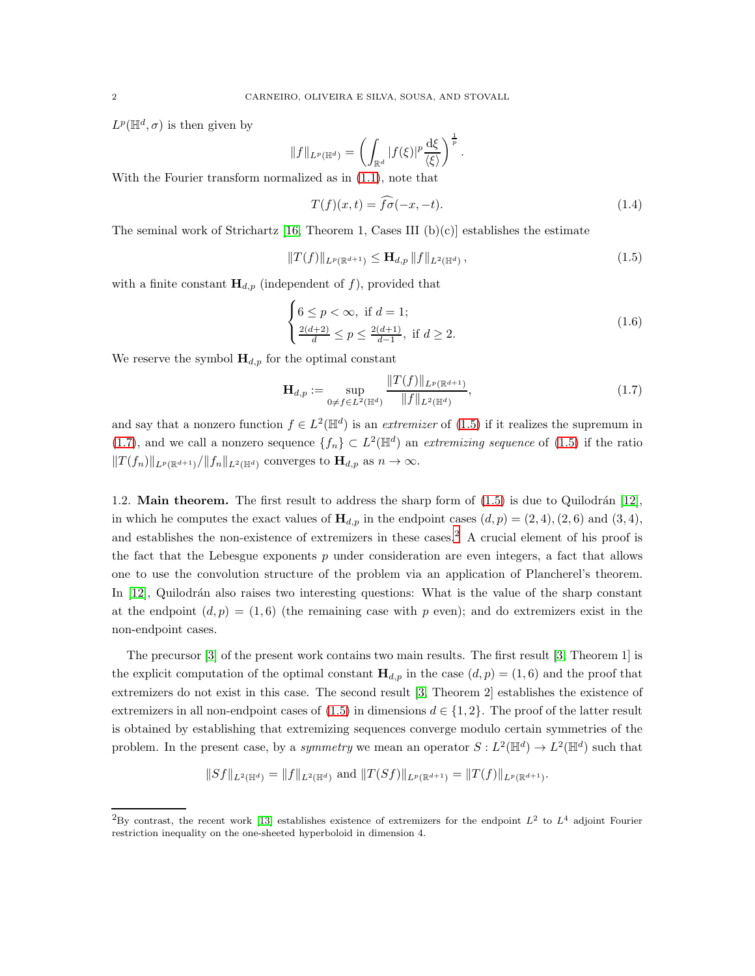$L^p(\mathbb{H}^d, \sigma)$  is then given by

$$
||f||_{L^p(\mathbb{H}^d)} = \left(\int_{\mathbb{R}^d} |f(\xi)|^p \frac{d\xi}{\langle \xi \rangle}\right)^{\frac{1}{p}}.
$$

With the Fourier transform normalized as in [\(1.1\)](#page-0-1), note that

$$
T(f)(x,t) = \widehat{f}\widehat{\sigma}(-x,-t). \tag{1.4}
$$

The seminal work of Strichartz [\[16,](#page-19-1) Theorem 1, Cases III  $(b)(c)$ ] establishes the estimate

<span id="page-1-0"></span>
$$
||T(f)||_{L^{p}(\mathbb{R}^{d+1})} \leq \mathbf{H}_{d,p} ||f||_{L^{2}(\mathbb{H}^{d})},
$$
\n(1.5)

with a finite constant  $H_{d,p}$  (independent of f), provided that

$$
\begin{cases} 6 \le p < \infty, \text{ if } d = 1; \\ \frac{2(d+2)}{d} \le p \le \frac{2(d+1)}{d-1}, \text{ if } d \ge 2. \end{cases}
$$
 (1.6)

We reserve the symbol  $\mathbf{H}_{d,p}$  for the optimal constant

<span id="page-1-1"></span>
$$
\mathbf{H}_{d,p} := \sup_{0 \neq f \in L^2(\mathbb{H}^d)} \frac{\|T(f)\|_{L^p(\mathbb{R}^{d+1})}}{\|f\|_{L^2(\mathbb{H}^d)}},\tag{1.7}
$$

and say that a nonzero function  $f \in L^2(\mathbb{H}^d)$  is an *extremizer* of [\(1.5\)](#page-1-0) if it realizes the supremum in [\(1.7\)](#page-1-1), and we call a nonzero sequence  $\{f_n\} \subset L^2(\mathbb{H}^d)$  an *extremizing sequence* of [\(1.5\)](#page-1-0) if the ratio  $||T(f_n)||_{L^p(\mathbb{R}^{d+1})}/||f_n||_{L^2(\mathbb{H}^d)}$  converges to  $\mathbf{H}_{d,p}$  as  $n \to \infty$ .

1.2. **Main theorem.** The first result to address the sharp form of  $(1.5)$  is due to Quilodrán [\[12\]](#page-19-0), in which he computes the exact values of  $H_{d,p}$  in the endpoint cases  $(d, p) = (2, 4), (2, 6)$  and  $(3, 4),$ and establishes the non-existence of extremizers in these cases.<sup>[2](#page-1-2)</sup> A crucial element of his proof is the fact that the Lebesgue exponents  $p$  under consideration are even integers, a fact that allows one to use the convolution structure of the problem via an application of Plancherel's theorem. In [\[12\]](#page-19-0), Quilodrán also raises two interesting questions: What is the value of the sharp constant at the endpoint  $(d, p) = (1, 6)$  (the remaining case with p even); and do extremizers exist in the non-endpoint cases.

The precursor [\[3\]](#page-18-0) of the present work contains two main results. The first result [\[3,](#page-18-0) Theorem 1] is the explicit computation of the optimal constant  $H_{d,p}$  in the case  $(d, p) = (1, 6)$  and the proof that extremizers do not exist in this case. The second result [\[3,](#page-18-0) Theorem 2] establishes the existence of extremizers in all non-endpoint cases of [\(1.5\)](#page-1-0) in dimensions  $d \in \{1, 2\}$ . The proof of the latter result is obtained by establishing that extremizing sequences converge modulo certain symmetries of the problem. In the present case, by a *symmetry* we mean an operator  $S: L^2(\mathbb{H}^d) \to L^2(\mathbb{H}^d)$  such that

$$
||Sf||_{L^2(\mathbb{H}^d)} = ||f||_{L^2(\mathbb{H}^d)} \text{ and } ||T(Sf)||_{L^p(\mathbb{R}^{d+1})} = ||T(f)||_{L^p(\mathbb{R}^{d+1})}.
$$

<span id="page-1-2"></span><sup>&</sup>lt;sup>2</sup>By contrast, the recent work [\[13\]](#page-19-2) establishes existence of extremizers for the endpoint  $L^2$  to  $L^4$  adjoint Fourier restriction inequality on the one-sheeted hyperboloid in dimension 4.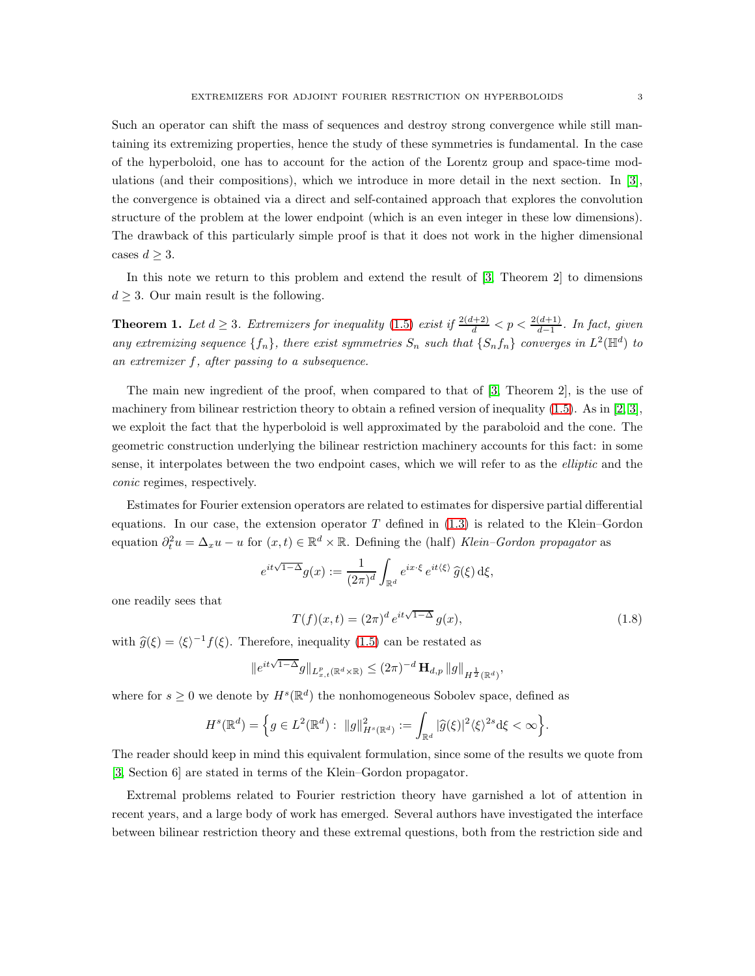Such an operator can shift the mass of sequences and destroy strong convergence while still mantaining its extremizing properties, hence the study of these symmetries is fundamental. In the case of the hyperboloid, one has to account for the action of the Lorentz group and space-time modulations (and their compositions), which we introduce in more detail in the next section. In [\[3\]](#page-18-0), the convergence is obtained via a direct and self-contained approach that explores the convolution structure of the problem at the lower endpoint (which is an even integer in these low dimensions). The drawback of this particularly simple proof is that it does not work in the higher dimensional cases  $d \geq 3$ .

In this note we return to this problem and extend the result of [\[3,](#page-18-0) Theorem 2] to dimensions  $d > 3$ . Our main result is the following.

<span id="page-2-0"></span>**Theorem 1.** Let  $d \geq 3$ . Extremizers for inequality [\(1.5\)](#page-1-0) exist if  $\frac{2(d+2)}{d} < p < \frac{2(d+1)}{d-1}$ . In fact, given any extremizing sequence  $\{f_n\}$ , there exist symmetries  $S_n$  such that  $\{S_nf_n\}$  converges in  $L^2(\mathbb{H}^d)$  to an extremizer f, after passing to a subsequence.

The main new ingredient of the proof, when compared to that of [\[3,](#page-18-0) Theorem 2], is the use of machinery from bilinear restriction theory to obtain a refined version of inequality  $(1.5)$ . As in [\[2,](#page-18-1) [3\]](#page-18-0), we exploit the fact that the hyperboloid is well approximated by the paraboloid and the cone. The geometric construction underlying the bilinear restriction machinery accounts for this fact: in some sense, it interpolates between the two endpoint cases, which we will refer to as the elliptic and the conic regimes, respectively.

Estimates for Fourier extension operators are related to estimates for dispersive partial differential equations. In our case, the extension operator  $T$  defined in  $(1.3)$  is related to the Klein–Gordon equation  $\partial_t^2 u = \Delta_x u - u$  for  $(x, t) \in \mathbb{R}^d \times \mathbb{R}$ . Defining the (half) Klein–Gordon propagator as

$$
e^{it\sqrt{1-\Delta}}g(x):=\frac{1}{(2\pi)^d}\int_{\mathbb{R}^d}e^{ix\cdot\xi}\,e^{it\langle\xi\rangle}\,\widehat{g}(\xi)\,\mathrm{d}\xi,
$$

one readily sees that

$$
T(f)(x,t) = (2\pi)^d e^{it\sqrt{1-\Delta}} g(x),
$$
\n(1.8)

,

with  $\hat{g}(\xi) = \langle \xi \rangle^{-1} f(\xi)$ . Therefore, inequality [\(1.5\)](#page-1-0) can be restated as

$$
\|e^{it\sqrt{1-\Delta}}g\|_{L^p_{x,t}(\mathbb{R}^d\times\mathbb{R})}\leq (2\pi)^{-d}\, \mathbf{H}_{d,p}\, \|g\|_{H^{\frac{1}{2}}(\mathbb{R}^d)}
$$

where for  $s \geq 0$  we denote by  $H^s(\mathbb{R}^d)$  the nonhomogeneous Sobolev space, defined as

$$
H^s(\mathbb{R}^d) = \Big\{ g \in L^2(\mathbb{R}^d): \ \|g\|_{H^s(\mathbb{R}^d)}^2 := \int_{\mathbb{R}^d} |\widehat{g}(\xi)|^2 \langle \xi \rangle^{2s} d\xi < \infty \Big\}.
$$

The reader should keep in mind this equivalent formulation, since some of the results we quote from [\[3,](#page-18-0) Section 6] are stated in terms of the Klein–Gordon propagator.

Extremal problems related to Fourier restriction theory have garnished a lot of attention in recent years, and a large body of work has emerged. Several authors have investigated the interface between bilinear restriction theory and these extremal questions, both from the restriction side and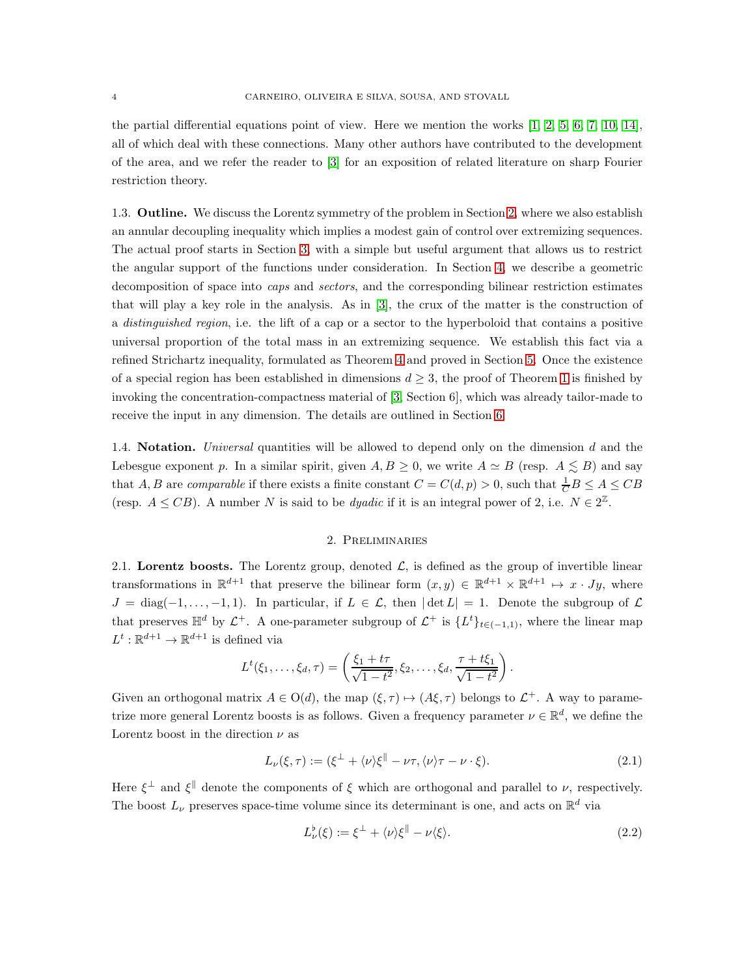the partial differential equations point of view. Here we mention the works  $\left[1, 2, 5, 6, 7, 10, 14\right]$  $\left[1, 2, 5, 6, 7, 10, 14\right]$  $\left[1, 2, 5, 6, 7, 10, 14\right]$  $\left[1, 2, 5, 6, 7, 10, 14\right]$  $\left[1, 2, 5, 6, 7, 10, 14\right]$  $\left[1, 2, 5, 6, 7, 10, 14\right]$  $\left[1, 2, 5, 6, 7, 10, 14\right]$ , all of which deal with these connections. Many other authors have contributed to the development of the area, and we refer the reader to [\[3\]](#page-18-0) for an exposition of related literature on sharp Fourier restriction theory.

1.3. Outline. We discuss the Lorentz symmetry of the problem in Section [2,](#page-3-0) where we also establish an annular decoupling inequality which implies a modest gain of control over extremizing sequences. The actual proof starts in Section [3,](#page-5-0) with a simple but useful argument that allows us to restrict the angular support of the functions under consideration. In Section [4,](#page-6-0) we describe a geometric decomposition of space into caps and sectors, and the corresponding bilinear restriction estimates that will play a key role in the analysis. As in [\[3\]](#page-18-0), the crux of the matter is the construction of a distinguished region, i.e. the lift of a cap or a sector to the hyperboloid that contains a positive universal proportion of the total mass in an extremizing sequence. We establish this fact via a refined Strichartz inequality, formulated as Theorem [4](#page-11-0) and proved in Section [5.](#page-10-0) Once the existence of a special region has been established in dimensions  $d \geq 3$ , the proof of Theorem [1](#page-2-0) is finished by invoking the concentration-compactness material of [\[3,](#page-18-0) Section 6], which was already tailor-made to receive the input in any dimension. The details are outlined in Section [6.](#page-17-0)

1.4. Notation. Universal quantities will be allowed to depend only on the dimension d and the Lebesgue exponent p. In a similar spirit, given  $A, B \geq 0$ , we write  $A \simeq B$  (resp.  $A \leq B$ ) and say that A, B are *comparable* if there exists a finite constant  $C = C(d, p) > 0$ , such that  $\frac{1}{C}B \le A \le CB$ (resp.  $A \leq CB$ ). A number N is said to be *dyadic* if it is an integral power of 2, i.e.  $N \in 2^{\mathbb{Z}}$ .

### 2. Preliminaries

<span id="page-3-0"></span>2.1. Lorentz boosts. The Lorentz group, denoted  $\mathcal{L}$ , is defined as the group of invertible linear transformations in  $\mathbb{R}^{d+1}$  that preserve the bilinear form  $(x, y) \in \mathbb{R}^{d+1} \times \mathbb{R}^{d+1} \mapsto x \cdot Jy$ , where  $J = \text{diag}(-1, \ldots, -1, 1)$ . In particular, if  $L \in \mathcal{L}$ , then  $|\det L| = 1$ . Denote the subgroup of  $\mathcal{L}$ that preserves  $\mathbb{H}^d$  by  $\mathcal{L}^+$ . A one-parameter subgroup of  $\mathcal{L}^+$  is  $\{L^t\}_{t\in(-1,1)}$ , where the linear map  $L^t : \mathbb{R}^{d+1} \to \mathbb{R}^{d+1}$  is defined via

$$
L^{t}(\xi_1,\ldots,\xi_d,\tau)=\left(\frac{\xi_1+t\tau}{\sqrt{1-t^2}},\xi_2,\ldots,\xi_d,\frac{\tau+t\xi_1}{\sqrt{1-t^2}}\right).
$$

Given an orthogonal matrix  $A \in O(d)$ , the map  $(\xi, \tau) \mapsto (A\xi, \tau)$  belongs to  $\mathcal{L}^+$ . A way to parametrize more general Lorentz boosts is as follows. Given a frequency parameter  $\nu \in \mathbb{R}^d$ , we define the Lorentz boost in the direction  $\nu$  as

<span id="page-3-1"></span>
$$
L_{\nu}(\xi,\tau) := (\xi^{\perp} + \langle \nu \rangle \xi^{\parallel} - \nu \tau, \langle \nu \rangle \tau - \nu \cdot \xi). \tag{2.1}
$$

Here  $\xi^{\perp}$  and  $\xi^{\parallel}$  denote the components of  $\xi$  which are orthogonal and parallel to  $\nu$ , respectively. The boost  $L_{\nu}$  preserves space-time volume since its determinant is one, and acts on  $\mathbb{R}^{d}$  via

$$
L^{\flat}_{\nu}(\xi) := \xi^{\perp} + \langle \nu \rangle \xi^{\parallel} - \nu \langle \xi \rangle. \tag{2.2}
$$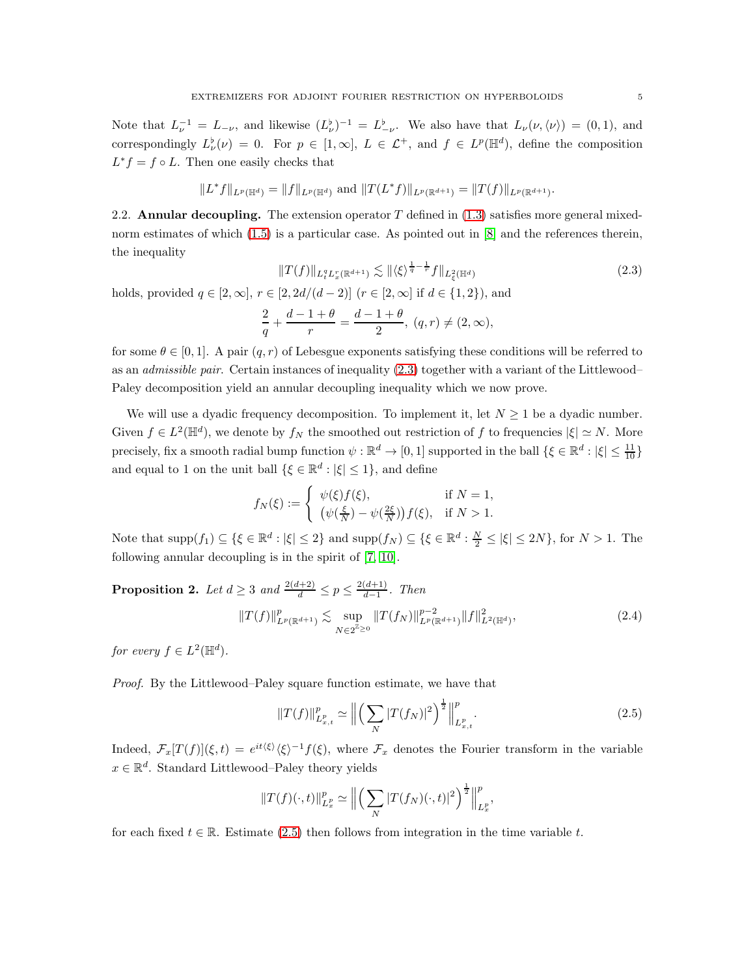Note that  $L_{\nu}^{-1} = L_{-\nu}$ , and likewise  $(L_{\nu}^{\flat})^{-1} = L_{-\nu}^{\flat}$ . We also have that  $L_{\nu}(\nu, \langle \nu \rangle) = (0, 1)$ , and correspondingly  $L^{\flat}_{\nu}(\nu) = 0$ . For  $p \in [1, \infty], L \in \mathcal{L}^+$ , and  $f \in L^p(\mathbb{H}^d)$ , define the composition  $L^* f = f \circ L$ . Then one easily checks that

$$
||L^*f||_{L^p(\mathbb{H}^d)} = ||f||_{L^p(\mathbb{H}^d)} \text{ and } ||T(L^*f)||_{L^p(\mathbb{R}^{d+1})} = ||T(f)||_{L^p(\mathbb{R}^{d+1})}.
$$

2.2. **Annular decoupling.** The extension operator  $T$  defined in [\(1.3\)](#page-0-2) satisfies more general mixednorm estimates of which  $(1.5)$  is a particular case. As pointed out in  $[8]$  and the references therein, the inequality

<span id="page-4-0"></span>
$$
||T(f)||_{L_t^q L_x^r(\mathbb{R}^{d+1})} \lesssim ||\langle \xi \rangle^{\frac{1}{q} - \frac{1}{r}} f||_{L_{\xi}^2(\mathbb{H}^d)}
$$
(2.3)

holds, provided  $q \in [2,\infty]$ ,  $r \in [2,2d/(d-2)]$  ( $r \in [2,\infty]$  if  $d \in \{1,2\}$ ), and

$$
\frac{2}{q} + \frac{d-1+\theta}{r} = \frac{d-1+\theta}{2}, (q,r) \neq (2,\infty),
$$

for some  $\theta \in [0, 1]$ . A pair  $(q, r)$  of Lebesgue exponents satisfying these conditions will be referred to as an admissible pair. Certain instances of inequality [\(2.3\)](#page-4-0) together with a variant of the Littlewood– Paley decomposition yield an annular decoupling inequality which we now prove.

We will use a dyadic frequency decomposition. To implement it, let  $N \geq 1$  be a dyadic number. Given  $f \in L^2(\mathbb{H}^d)$ , we denote by  $f_N$  the smoothed out restriction of f to frequencies  $|\xi| \simeq N$ . More precisely, fix a smooth radial bump function  $\psi : \mathbb{R}^d \to [0,1]$  supported in the ball  $\{\xi \in \mathbb{R}^d : |\xi| \le \frac{11}{10}\}$ and equal to 1 on the unit ball  $\{\xi \in \mathbb{R}^d : |\xi| \leq 1\}$ , and define

$$
f_N(\xi) := \begin{cases} \psi(\xi) f(\xi), & \text{if } N = 1, \\ (\psi(\frac{\xi}{N}) - \psi(\frac{2\xi}{N})) f(\xi), & \text{if } N > 1. \end{cases}
$$

Note that  $\text{supp}(f_1) \subseteq \{\xi \in \mathbb{R}^d : |\xi| \leq 2\}$  and  $\text{supp}(f_N) \subseteq \{\xi \in \mathbb{R}^d : \frac{N}{2} \leq |\xi| \leq 2N\}$ , for  $N > 1$ . The following annular decoupling is in the spirit of [\[7,](#page-19-5) [10\]](#page-19-6).

<span id="page-4-2"></span>**Proposition 2.** Let  $d \geq 3$  and  $\frac{2(d+2)}{d} \leq p \leq \frac{2(d+1)}{d-1}$  $\frac{(a+1)}{d-1}$ . Then  $||T(f)||_{L^p(\mathbb{R}^{d+1})}^p \lesssim \sup$  $\sup_{N\in2^{\mathbb{Z}}\geq 0}||T(f_N)||_{L^p(\mathbb{R}^{d+1})}^{p-2}||f||_{L^2(\mathbb{H}^d)}^2$  $(2.4)$ 

for every  $f \in L^2(\mathbb{H}^d)$ .

Proof. By the Littlewood–Paley square function estimate, we have that

<span id="page-4-1"></span>
$$
||T(f)||_{L_{x,t}^p}^p \simeq \left\| \left( \sum_N |T(f_N)|^2 \right)^{\frac{1}{2}} \right\|_{L_{x,t}^p}^p. \tag{2.5}
$$

Indeed,  $\mathcal{F}_x[T(f)](\xi,t) = e^{it\langle\xi\rangle}\langle\xi\rangle^{-1}f(\xi)$ , where  $\mathcal{F}_x$  denotes the Fourier transform in the variable  $x \in \mathbb{R}^d$ . Standard Littlewood–Paley theory yields

$$
||T(f)(\cdot,t)||_{L_x^p}^p \simeq \left\| \left( \sum_N |T(f_N)(\cdot,t)|^2 \right)^{\frac{1}{2}} \right\|_{L_x^p}^p,
$$

for each fixed  $t \in \mathbb{R}$ . Estimate [\(2.5\)](#page-4-1) then follows from integration in the time variable t.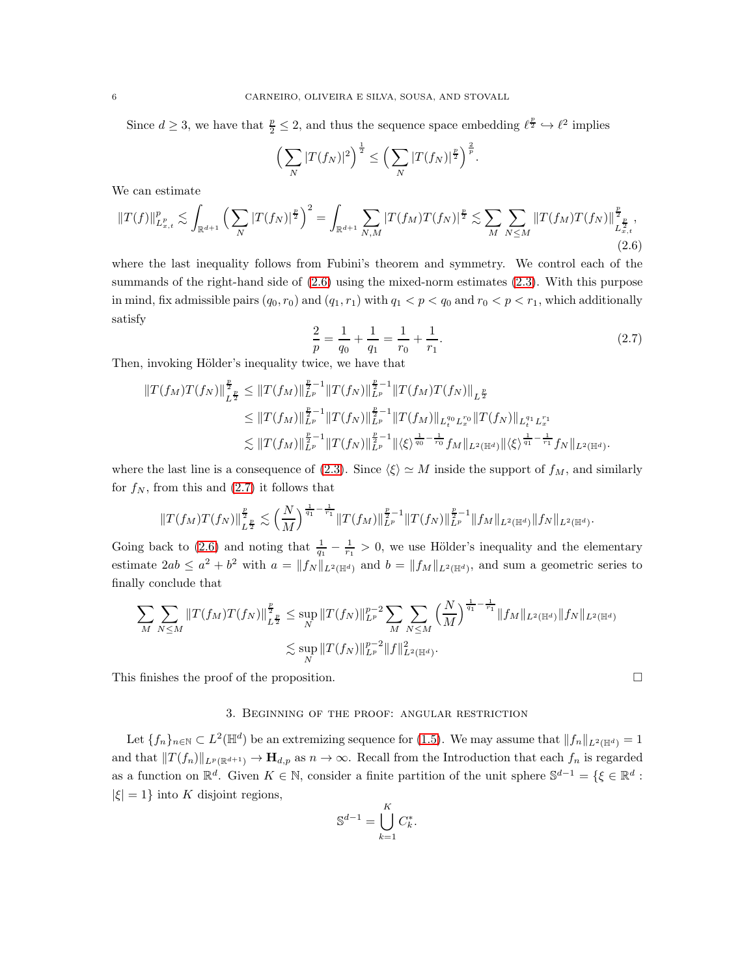Since  $d \geq 3$ , we have that  $\frac{p}{2} \leq 2$ , and thus the sequence space embedding  $\ell^{\frac{p}{2}} \hookrightarrow \ell^2$  implies

$$
\left(\sum_N|T(f_N)|^2\right)^{\frac{1}{2}} \le \left(\sum_N|T(f_N)|^{\frac{p}{2}}\right)^{\frac{2}{p}}.
$$

We can estimate

<span id="page-5-1"></span>
$$
||T(f)||_{L_{x,t}^p}^p \lesssim \int_{\mathbb{R}^{d+1}} \left(\sum_N |T(f_N)|^{\frac{p}{2}}\right)^2 = \int_{\mathbb{R}^{d+1}} \sum_{N,M} |T(f_M)T(f_N)|^{\frac{p}{2}} \lesssim \sum_M \sum_{N \le M} ||T(f_M)T(f_N)||_{L_{x,t}^{\frac{p}{2}}}^{\frac{p}{2}},
$$
\n(2.6)

where the last inequality follows from Fubini's theorem and symmetry. We control each of the summands of the right-hand side of  $(2.6)$  using the mixed-norm estimates  $(2.3)$ . With this purpose in mind, fix admissible pairs  $(q_0, r_0)$  and  $(q_1, r_1)$  with  $q_1 < p < q_0$  and  $r_0 < p < r_1$ , which additionally satisfy

<span id="page-5-2"></span>
$$
\frac{2}{p} = \frac{1}{q_0} + \frac{1}{q_1} = \frac{1}{r_0} + \frac{1}{r_1}.
$$
\n(2.7)

Then, invoking Hölder's inequality twice, we have that

$$
||T(f_M)T(f_N)||_{L^{\frac{p}{2}}}^{\frac{p}{2}} \leq ||T(f_M)||_{L^p}^{\frac{p}{2}-1}||T(f_N)||_{L^p}^{\frac{p}{2}-1}||T(f_M)T(f_N)||_{L^{\frac{p}{2}}} \leq ||T(f_M)||_{L^p}^{\frac{p}{2}-1}||T(f_N)||_{L^p}^{\frac{p}{2}-1}||T(f_M)||_{L^q_v}^{\frac{p}{2}}L_x^{r_0}||T(f_N)||_{L^q_t}^{\frac{q}{2}}L_x^{r_1} \lesssim ||T(f_M)||_{L^p}^{\frac{p}{2}-1}||T(f_N)||_{L^p}^{\frac{p}{2}-1}||\langle \xi \rangle^{\frac{1}{q_0}-\frac{1}{r_0}}f_M||_{L^2(\mathbb{H}^d)}||\langle \xi \rangle^{\frac{1}{q_1}-\frac{1}{r_1}}f_N||_{L^2(\mathbb{H}^d)}.
$$

where the last line is a consequence of [\(2.3\)](#page-4-0). Since  $\langle \xi \rangle \simeq M$  inside the support of  $f_M$ , and similarly for  $f_N$ , from this and  $(2.7)$  it follows that

$$
||T(f_M)T(f_N)||_{L^{\frac{p}{2}}}^{\frac{p}{2}} \lesssim \left(\frac{N}{M}\right)^{\frac{1}{q_1}-\frac{1}{r_1}}||T(f_M)||_{L^p}^{\frac{p}{2}-1}||T(f_N)||_{L^p}^{\frac{p}{2}-1}||f_M||_{L^2(\mathbb{H}^d)}||f_N||_{L^2(\mathbb{H}^d)}.
$$

Going back to [\(2.6\)](#page-5-1) and noting that  $\frac{1}{q_1} - \frac{1}{r_1} > 0$ , we use Hölder's inequality and the elementary estimate  $2ab \le a^2 + b^2$  with  $a = ||f_N||_{L^2(\mathbb{H}^d)}$  and  $b = ||f_M||_{L^2(\mathbb{H}^d)}$ , and sum a geometric series to finally conclude that

$$
\sum_{M} \sum_{N \leq M} ||T(f_M)T(f_N)||_{L^{\frac{p}{2}}}^{\frac{p}{2}} \leq \sup_{N} ||T(f_N)||_{L^p}^{p-2} \sum_{M} \sum_{N \leq M} \left(\frac{N}{M}\right)^{\frac{1}{q_1} - \frac{1}{r_1}} ||f_M||_{L^2(\mathbb{H}^d)} ||f_N||_{L^2(\mathbb{H}^d)}
$$
  

$$
\lesssim \sup_{N} ||T(f_N)||_{L^p}^{p-2} ||f||_{L^2(\mathbb{H}^d)}^2.
$$

<span id="page-5-0"></span>This finishes the proof of the proposition.  $\Box$ 

### 3. Beginning of the proof: angular restriction

Let  $\{f_n\}_{n\in\mathbb{N}}\subset L^2(\mathbb{H}^d)$  be an extremizing sequence for [\(1.5\)](#page-1-0). We may assume that  $||f_n||_{L^2(\mathbb{H}^d)}=1$ and that  $||T(f_n)||_{L^p(\mathbb{R}^{d+1})} \to \mathbf{H}_{d,p}$  as  $n \to \infty$ . Recall from the Introduction that each  $f_n$  is regarded as a function on  $\mathbb{R}^d$ . Given  $K \in \mathbb{N}$ , consider a finite partition of the unit sphere  $\mathbb{S}^{d-1} = \{ \xi \in \mathbb{R}^d :$  $|\xi| = 1$ } into K disjoint regions,

$$
\mathbb{S}^{d-1} = \bigcup_{k=1}^{K} C_k^*
$$

.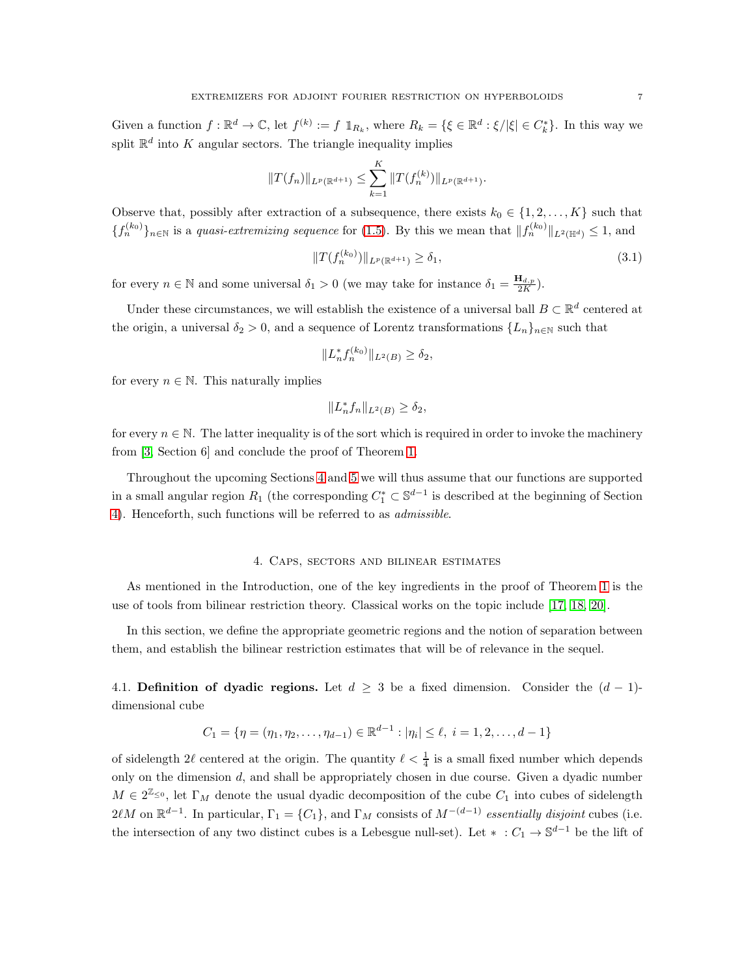Given a function  $f: \mathbb{R}^d \to \mathbb{C}$ , let  $f^{(k)} := f \mathbb{1}_{R_k}$ , where  $R_k = \{ \xi \in \mathbb{R}^d : \xi / |\xi| \in C_k^* \}$ . In this way we split  $\mathbb{R}^d$  into K angular sectors. The triangle inequality implies

$$
||T(f_n)||_{L^p(\mathbb{R}^{d+1})} \leq \sum_{k=1}^K ||T(f_n^{(k)})||_{L^p(\mathbb{R}^{d+1})}.
$$

Observe that, possibly after extraction of a subsequence, there exists  $k_0 \in \{1, 2, ..., K\}$  such that  ${f_n^{(k_0)}\}_{n\in\mathbb{N}}$  is a *quasi-extremizing sequence* for [\(1.5\)](#page-1-0). By this we mean that  $||f_n^{(k_0)}||_{L^2(\mathbb{H}^d)} \leq 1$ , and

<span id="page-6-1"></span>
$$
||T(f_n^{(k_0)})||_{L^p(\mathbb{R}^{d+1})} \ge \delta_1,\tag{3.1}
$$

for every  $n \in \mathbb{N}$  and some universal  $\delta_1 > 0$  (we may take for instance  $\delta_1 = \frac{\mathbf{H}_{d,p}}{2K}$  $\frac{\mathbf{1}_{d,p}}{2K}).$ 

Under these circumstances, we will establish the existence of a universal ball  $B \subset \mathbb{R}^d$  centered at the origin, a universal  $\delta_2 > 0$ , and a sequence of Lorentz transformations  ${L_n}_{n \in \mathbb{N}}$  such that

$$
||L_n^* f_n^{(k_0)}||_{L^2(B)} \ge \delta_2,
$$

for every  $n \in \mathbb{N}$ . This naturally implies

$$
||L_n^*f_n||_{L^2(B)} \ge \delta_2,
$$

for every  $n \in \mathbb{N}$ . The latter inequality is of the sort which is required in order to invoke the machinery from [\[3,](#page-18-0) Section 6] and conclude the proof of Theorem [1.](#page-2-0)

Throughout the upcoming Sections [4](#page-6-0) and [5](#page-10-0) we will thus assume that our functions are supported in a small angular region  $R_1$  (the corresponding  $C_1^* \subset \mathbb{S}^{d-1}$  is described at the beginning of Section [4\)](#page-6-0). Henceforth, such functions will be referred to as admissible.

## 4. Caps, sectors and bilinear estimates

<span id="page-6-0"></span>As mentioned in the Introduction, one of the key ingredients in the proof of Theorem [1](#page-2-0) is the use of tools from bilinear restriction theory. Classical works on the topic include [\[17,](#page-19-9) [18,](#page-19-10) [20\]](#page-19-11).

In this section, we define the appropriate geometric regions and the notion of separation between them, and establish the bilinear restriction estimates that will be of relevance in the sequel.

4.1. Definition of dyadic regions. Let  $d \geq 3$  be a fixed dimension. Consider the  $(d-1)$ dimensional cube

$$
C_1 = \{ \eta = (\eta_1, \eta_2, \dots, \eta_{d-1}) \in \mathbb{R}^{d-1} : |\eta_i| \le \ell, \ i = 1, 2, \dots, d-1 \}
$$

of sidelength  $2\ell$  centered at the origin. The quantity  $\ell < \frac{1}{4}$  is a small fixed number which depends only on the dimension d, and shall be appropriately chosen in due course. Given a dyadic number  $M \in 2^{\mathbb{Z}_{\leq 0}}$ , let  $\Gamma_M$  denote the usual dyadic decomposition of the cube  $C_1$  into cubes of sidelength  $2\ell M$  on  $\mathbb{R}^{d-1}$ . In particular,  $\Gamma_1 = \{C_1\}$ , and  $\Gamma_M$  consists of  $M^{-(d-1)}$  essentially disjoint cubes (i.e. the intersection of any two distinct cubes is a Lebesgue null-set). Let  $* : C_1 \to \mathbb{S}^{d-1}$  be the lift of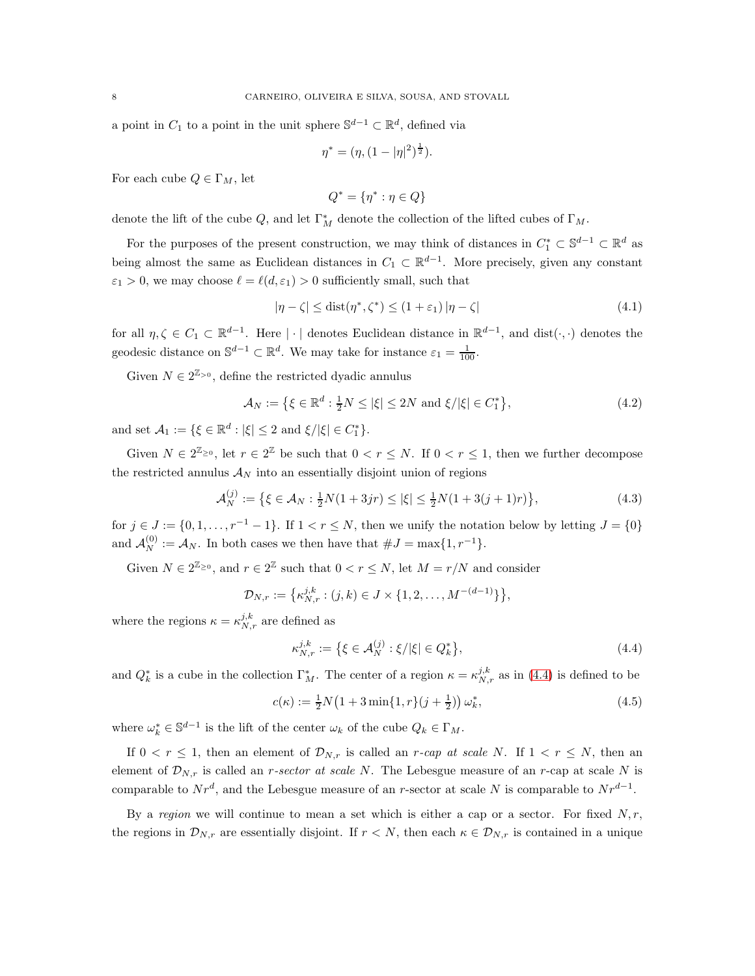a point in  $C_1$  to a point in the unit sphere  $\mathbb{S}^{d-1} \subset \mathbb{R}^d$ , defined via

$$
\eta^* = (\eta, (1 - |\eta|^2)^{\frac{1}{2}}).
$$

For each cube  $Q \in \Gamma_M$ , let

<span id="page-7-2"></span>
$$
Q^* = \{\eta^* : \eta \in Q\}
$$

denote the lift of the cube  $Q$ , and let  $\Gamma_M^*$  denote the collection of the lifted cubes of  $\Gamma_M$ .

For the purposes of the present construction, we may think of distances in  $C_1^* \subset \mathbb{S}^{d-1} \subset \mathbb{R}^d$  as being almost the same as Euclidean distances in  $C_1 \subset \mathbb{R}^{d-1}$ . More precisely, given any constant  $\varepsilon_1 > 0$ , we may choose  $\ell = \ell(d, \varepsilon_1) > 0$  sufficiently small, such that

$$
|\eta - \zeta| \le \text{dist}(\eta^*, \zeta^*) \le (1 + \varepsilon_1) |\eta - \zeta| \tag{4.1}
$$

for all  $\eta, \zeta \in C_1 \subset \mathbb{R}^{d-1}$ . Here  $|\cdot|$  denotes Euclidean distance in  $\mathbb{R}^{d-1}$ , and  $dist(\cdot, \cdot)$  denotes the geodesic distance on  $\mathbb{S}^{d-1} \subset \mathbb{R}^d$ . We may take for instance  $\varepsilon_1 = \frac{1}{100}$ .

Given  $N\in 2^{\mathbb{Z}_{\geq 0}},$  define the restricted dyadic annulus

$$
\mathcal{A}_N := \left\{ \xi \in \mathbb{R}^d : \frac{1}{2}N \le |\xi| \le 2N \text{ and } \xi/|\xi| \in C_1^* \right\},\tag{4.2}
$$

and set  $A_1 := \{ \xi \in \mathbb{R}^d : |\xi| \leq 2 \text{ and } \xi / |\xi| \in C_1^* \}.$ 

Given  $N \in 2^{\mathbb{Z}_{\geq 0}}$ , let  $r \in 2^{\mathbb{Z}}$  be such that  $0 < r \leq N$ . If  $0 < r \leq 1$ , then we further decompose the restricted annulus  $A_N$  into an essentially disjoint union of regions

$$
\mathcal{A}_N^{(j)} := \left\{ \xi \in \mathcal{A}_N : \frac{1}{2} N(1 + 3jr) \le |\xi| \le \frac{1}{2} N(1 + 3(j + 1)r) \right\},\tag{4.3}
$$

for  $j \in J := \{0, 1, \ldots, r^{-1} - 1\}$ . If  $1 < r \le N$ , then we unify the notation below by letting  $J = \{0\}$ and  $\mathcal{A}_N^{(0)} := \mathcal{A}_N$ . In both cases we then have that  $\#J = \max\{1, r^{-1}\}.$ 

Given  $N \in 2^{\mathbb{Z}_{\geq 0}},$  and  $r \in 2^{\mathbb{Z}}$  such that  $0 < r \leq N$ , let  $M = r/N$  and consider

$$
\mathcal{D}_{N,r} := \left\{ \kappa_{N,r}^{j,k} : (j,k) \in J \times \{1,2,\ldots,M^{-(d-1)}\} \right\},\
$$

where the regions  $\kappa = \kappa_{N,r}^{j,k}$  are defined as

<span id="page-7-0"></span>
$$
\kappa_{N,r}^{j,k} := \{ \xi \in \mathcal{A}_N^{(j)} : \xi / |\xi| \in Q_k^* \},\tag{4.4}
$$

and  $Q_k^*$  is a cube in the collection  $\Gamma_M^*$ . The center of a region  $\kappa = \kappa_{N,r}^{j,k}$  as in [\(4.4\)](#page-7-0) is defined to be

<span id="page-7-1"></span>
$$
c(\kappa) := \frac{1}{2}N\left(1 + 3\min\{1, r\}(j + \frac{1}{2})\right)\omega_k^*,\tag{4.5}
$$

where  $\omega_k^* \in \mathbb{S}^{d-1}$  is the lift of the center  $\omega_k$  of the cube  $Q_k \in \Gamma_M$ .

If  $0 < r \leq 1$ , then an element of  $\mathcal{D}_{N,r}$  is called an r-cap at scale N. If  $1 < r \leq N$ , then an element of  $\mathcal{D}_{N,r}$  is called an *r-sector at scale N*. The Lebesgue measure of an *r*-cap at scale N is comparable to  $Nr^d$ , and the Lebesgue measure of an r-sector at scale N is comparable to  $Nr^{d-1}$ .

By a region we will continue to mean a set which is either a cap or a sector. For fixed  $N, r$ , the regions in  $\mathcal{D}_{N,r}$  are essentially disjoint. If  $r < N$ , then each  $\kappa \in \mathcal{D}_{N,r}$  is contained in a unique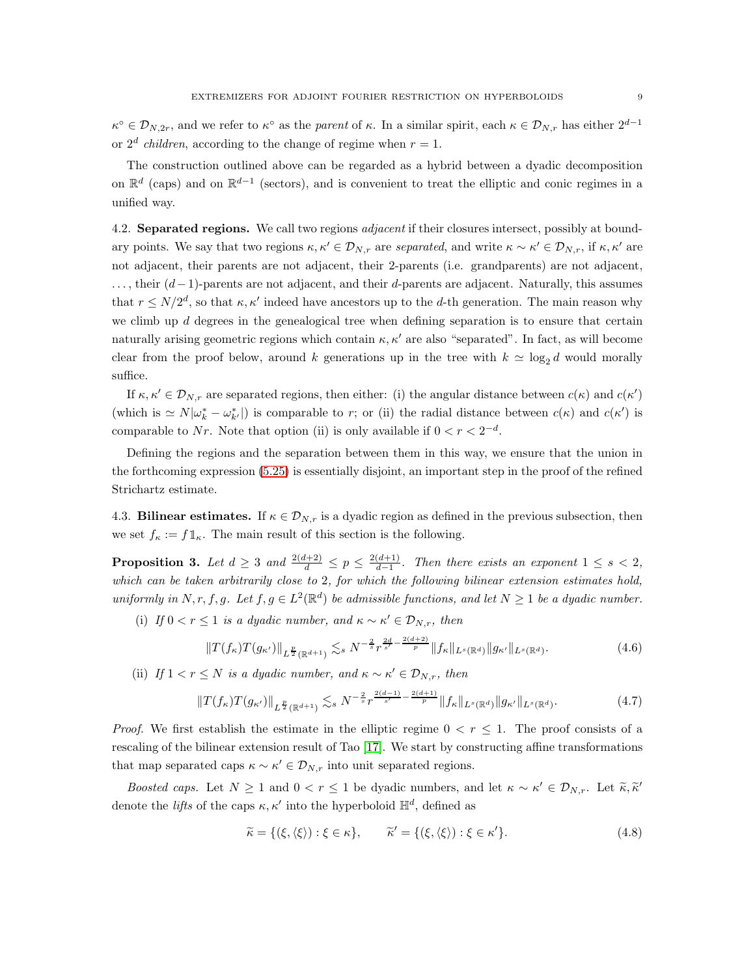$\kappa^{\circ} \in \mathcal{D}_{N,2r}$ , and we refer to  $\kappa^{\circ}$  as the parent of  $\kappa$ . In a similar spirit, each  $\kappa \in \mathcal{D}_{N,r}$  has either  $2^{d-1}$ or  $2^d$  *children*, according to the change of regime when  $r = 1$ .

The construction outlined above can be regarded as a hybrid between a dyadic decomposition on  $\mathbb{R}^d$  (caps) and on  $\mathbb{R}^{d-1}$  (sectors), and is convenient to treat the elliptic and conic regimes in a unified way.

4.2. Separated regions. We call two regions *adjacent* if their closures intersect, possibly at boundary points. We say that two regions  $\kappa, \kappa' \in \mathcal{D}_{N,r}$  are separated, and write  $\kappa \sim \kappa' \in \mathcal{D}_{N,r}$ , if  $\kappa, \kappa'$  are not adjacent, their parents are not adjacent, their 2-parents (i.e. grandparents) are not adjacent,  $\dots$ , their  $(d-1)$ -parents are not adjacent, and their d-parents are adjacent. Naturally, this assumes that  $r \leq N/2^d$ , so that  $\kappa, \kappa'$  indeed have ancestors up to the d-th generation. The main reason why we climb up d degrees in the genealogical tree when defining separation is to ensure that certain naturally arising geometric regions which contain  $\kappa, \kappa'$  are also "separated". In fact, as will become clear from the proof below, around k generations up in the tree with  $k \approx \log_2 d$  would morally suffice.

If  $\kappa, \kappa' \in \mathcal{D}_{N,r}$  are separated regions, then either: (i) the angular distance between  $c(\kappa)$  and  $c(\kappa')$ (which is  $\simeq N|\omega_k^* - \omega_{k'}^*|$ ) is comparable to r; or (ii) the radial distance between  $c(\kappa)$  and  $c(\kappa')$  is comparable to Nr. Note that option (ii) is only available if  $0 < r < 2^{-d}$ .

Defining the regions and the separation between them in this way, we ensure that the union in the forthcoming expression [\(5.25\)](#page-16-0) is essentially disjoint, an important step in the proof of the refined Strichartz estimate.

4.3. **Bilinear estimates.** If  $\kappa \in \mathcal{D}_{N,r}$  is a dyadic region as defined in the previous subsection, then we set  $f_{\kappa} := f \mathbb{1}_{\kappa}$ . The main result of this section is the following.

**Proposition 3.** Let  $d \geq 3$  and  $\frac{2(d+2)}{d} \leq p \leq \frac{2(d+1)}{d-1}$  $\frac{(a+1)}{d-1}$ . Then there exists an exponent  $1 \leq s < 2$ , which can be taken arbitrarily close to 2, for which the following bilinear extension estimates hold, uniformly in N, r, f, g. Let  $f, g \in L^2(\mathbb{R}^d)$  be admissible functions, and let  $N \geq 1$  be a dyadic number.

(i) If  $0 < r \leq 1$  is a dyadic number, and  $\kappa \sim \kappa' \in \mathcal{D}_{N,r}$ , then

<span id="page-8-0"></span>
$$
||T(f_{\kappa})T(g_{\kappa'})||_{L^{\frac{p}{2}}(\mathbb{R}^{d+1})} \lesssim_{s} N^{-\frac{2}{s}} r^{\frac{2d}{s'} - \frac{2(d+2)}{p}} ||f_{\kappa}||_{L^{s}(\mathbb{R}^{d})} ||g_{\kappa'}||_{L^{s}(\mathbb{R}^{d})}.
$$
\n(4.6)

(ii) If  $1 < r \leq N$  is a dyadic number, and  $\kappa \sim \kappa' \in \mathcal{D}_{N,r}$ , then

<span id="page-8-1"></span>
$$
||T(f_{\kappa})T(g_{\kappa'})||_{L^{\frac{p}{2}}(\mathbb{R}^{d+1})} \lesssim_{s} N^{-\frac{2}{s}} r^{\frac{2(d-1)}{s'}-\frac{2(d+1)}{p}} ||f_{\kappa}||_{L^{s}(\mathbb{R}^{d})} ||g_{\kappa'}||_{L^{s}(\mathbb{R}^{d})}.
$$
 (4.7)

*Proof.* We first establish the estimate in the elliptic regime  $0 < r \leq 1$ . The proof consists of a rescaling of the bilinear extension result of Tao [\[17\]](#page-19-9). We start by constructing affine transformations that map separated caps  $\kappa \sim \kappa' \in \mathcal{D}_{N,r}$  into unit separated regions.

Boosted caps. Let  $N \ge 1$  and  $0 < r \le 1$  be dyadic numbers, and let  $\kappa \sim \kappa' \in \mathcal{D}_{N,r}$ . Let  $\tilde{\kappa}, \tilde{\kappa}'$ denote the *lifts* of the caps  $\kappa, \kappa'$  into the hyperboloid  $\mathbb{H}^d$ , defined as

<span id="page-8-2"></span>
$$
\widetilde{\kappa} = \{ (\xi, \langle \xi \rangle) : \xi \in \kappa \}, \qquad \widetilde{\kappa}' = \{ (\xi, \langle \xi \rangle) : \xi \in \kappa' \}. \tag{4.8}
$$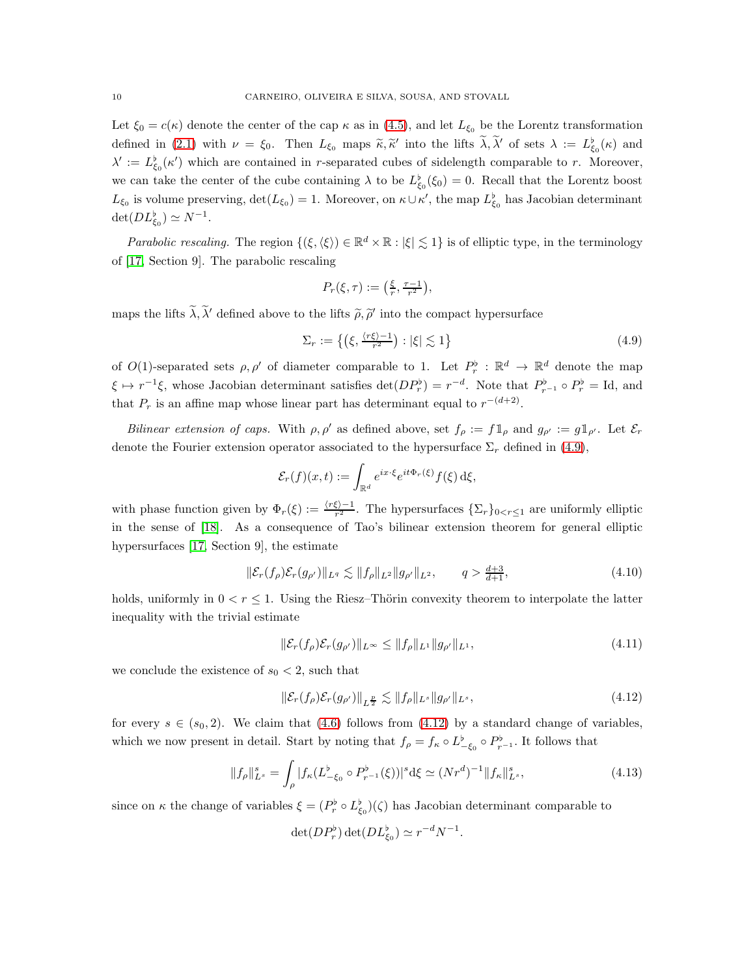Let  $\xi_0 = c(\kappa)$  denote the center of the cap  $\kappa$  as in [\(4.5\)](#page-7-1), and let  $L_{\xi_0}$  be the Lorentz transformation defined in [\(2.1\)](#page-3-1) with  $\nu = \xi_0$ . Then  $L_{\xi_0}$  maps  $\tilde{\kappa}, \tilde{\kappa}'$  into the lifts  $\tilde{\lambda}, \tilde{\lambda}'$  of sets  $\lambda := L_{\xi_0}^{\flat}(\kappa)$  and  $\lambda' := L^{\flat}_{\xi_0}(\kappa')$  which are contained in r-separated cubes of sidelength comparable to r. Moreover, we can take the center of the cube containing  $\lambda$  to be  $L^{\flat}_{\xi_0}(\xi_0) = 0$ . Recall that the Lorentz boost  $L_{\xi_0}$  is volume preserving,  $\det(L_{\xi_0}) = 1$ . Moreover, on  $\kappa \cup \kappa'$ , the map  $L_{\xi_0}^{\flat}$  has Jacobian determinant  $\det(DL_{\xi_0}^{\flat}) \simeq N^{-1}.$ 

*Parabolic rescaling*. The region  $\{(\xi,\langle \xi \rangle) \in \mathbb{R}^d \times \mathbb{R} : |\xi| \lesssim 1\}$  is of elliptic type, in the terminology of [\[17,](#page-19-9) Section 9]. The parabolic rescaling

$$
P_r(\xi,\tau):=\big(\tfrac{\xi}{r},\tfrac{\tau-1}{r^2}\big),
$$

maps the lifts  $\lambda, \lambda'$  defined above to the lifts  $\tilde{\rho}, \tilde{\rho}'$  into the compact hypersurface

<span id="page-9-0"></span>
$$
\Sigma_r := \left\{ \left( \xi, \frac{\langle r\xi \rangle - 1}{r^2} \right) : |\xi| \lesssim 1 \right\} \tag{4.9}
$$

of  $O(1)$ -separated sets  $\rho, \rho'$  of diameter comparable to 1. Let  $P_r^{\flat}: \mathbb{R}^d \to \mathbb{R}^d$  denote the map  $\xi \mapsto r^{-1}\xi$ , whose Jacobian determinant satisfies  $\det(DP_r^{\flat}) = r^{-d}$ . Note that  $P_{r-1}^{\flat} \circ P_r^{\flat} = \text{Id}$ , and that  $P_r$  is an affine map whose linear part has determinant equal to  $r^{-(d+2)}$ .

Bilinear extension of caps. With  $\rho, \rho'$  as defined above, set  $f_{\rho} := f \mathbb{1}_{\rho}$  and  $g_{\rho'} := g \mathbb{1}_{\rho'}$ . Let  $\mathcal{E}_r$ denote the Fourier extension operator associated to the hypersurface  $\Sigma_r$  defined in [\(4.9\)](#page-9-0),

$$
\mathcal{E}_r(f)(x,t) := \int_{\mathbb{R}^d} e^{ix\cdot\xi} e^{it\Phi_r(\xi)} f(\xi) \,\mathrm{d}\xi,
$$

with phase function given by  $\Phi_r(\xi) := \frac{\langle r\xi\rangle - 1}{r^2}$ . The hypersurfaces  $\{\Sigma_r\}_{0 \le r \le 1}$  are uniformly elliptic in the sense of [\[18\]](#page-19-10). As a consequence of Tao's bilinear extension theorem for general elliptic hypersurfaces [\[17,](#page-19-9) Section 9], the estimate

<span id="page-9-3"></span>
$$
\|\mathcal{E}_r(f_\rho)\mathcal{E}_r(g_{\rho'})\|_{L^q} \lesssim \|f_\rho\|_{L^2} \|g_{\rho'}\|_{L^2}, \qquad q > \frac{d+3}{d+1},\tag{4.10}
$$

holds, uniformly in  $0 < r \leq 1$ . Using the Riesz–Thörin convexity theorem to interpolate the latter inequality with the trivial estimate

$$
\|\mathcal{E}_r(f_\rho)\mathcal{E}_r(g_{\rho'})\|_{L^\infty} \le \|f_\rho\|_{L^1} \|g_{\rho'}\|_{L^1},\tag{4.11}
$$

we conclude the existence of  $s_0 < 2$ , such that

<span id="page-9-1"></span>
$$
\|\mathcal{E}_r(f_\rho)\mathcal{E}_r(g_{\rho'})\|_{L^{\frac{p}{2}}}\lesssim \|f_\rho\|_{L^s}\|g_{\rho'}\|_{L^s},\tag{4.12}
$$

for every  $s \in (s_0, 2)$ . We claim that [\(4.6\)](#page-8-0) follows from [\(4.12\)](#page-9-1) by a standard change of variables, which we now present in detail. Start by noting that  $f_{\rho} = f_{\kappa} \circ L^{\flat}_{-\xi_0} \circ P^{\flat}_{r^{-1}}$ . It follows that

<span id="page-9-2"></span>
$$
||f_{\rho}||_{L^{s}}^{s} = \int_{\rho} |f_{\kappa}(L_{-\xi_{0}}^{b} \circ P_{r^{-1}}^{b}(\xi))|^{s} d\xi \simeq (Nr^{d})^{-1} ||f_{\kappa}||_{L^{s}}^{s}, \qquad (4.13)
$$

since on  $\kappa$  the change of variables  $\xi = (P_r^{\flat} \circ L_{\xi_0}^{\flat})(\zeta)$  has Jacobian determinant comparable to

$$
\det(DP_r^{\flat})\det(DL_{\xi_0}^{\flat})\simeq r^{-d}N^{-1}.
$$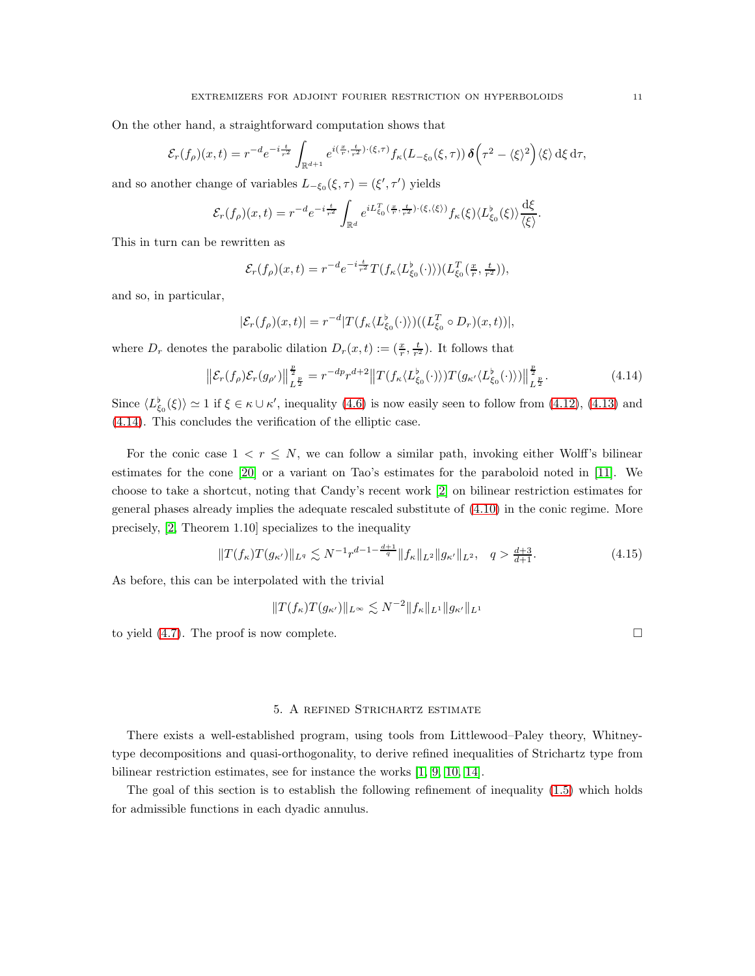On the other hand, a straightforward computation shows that

$$
\mathcal{E}_r(f_\rho)(x,t) = r^{-d} e^{-i\frac{t}{r^2}} \int_{\mathbb{R}^{d+1}} e^{i(\frac{x}{r},\frac{t}{r^2})\cdot(\xi,\tau)} f_\kappa(L_{-\xi_0}(\xi,\tau)) \, \delta\left(\tau^2 - \langle \xi \rangle^2\right) \langle \xi \rangle \, \mathrm{d}\xi \, \mathrm{d}\tau,
$$

and so another change of variables  $L_{-\xi_0}(\xi, \tau) = (\xi', \tau')$  yields

$$
\mathcal{E}_r(f_\rho)(x,t) = r^{-d} e^{-i\frac{t}{r^2}} \int_{\mathbb{R}^d} e^{iL_{\xi_0}^T(\frac{x}{r},\frac{t}{r^2})\cdot(\xi,\langle\xi\rangle)} f_\kappa(\xi) \langle L_{\xi_0}^{\flat}(\xi) \rangle \frac{\mathrm{d}\xi}{\langle\xi\rangle}.
$$

This in turn can be rewritten as

$$
\mathcal{E}_r(f_\rho)(x,t) = r^{-d}e^{-i\frac{t}{r^2}}T(f_\kappa\langle L^{\flat}_{\xi_0}(\cdot)\rangle)(L^T_{\xi_0}(\frac{x}{r},\frac{t}{r^2})),
$$

and so, in particular,

$$
|\mathcal{E}_r(f_\rho)(x,t)| = r^{-d} |T(f_\kappa \langle L^{\flat}_{\xi_0}(\cdot) \rangle) ((L^T_{\xi_0} \circ D_r)(x,t))|,
$$

where  $D_r$  denotes the parabolic dilation  $D_r(x,t) := (\frac{x}{r}, \frac{t}{r^2})$ . It follows that

<span id="page-10-1"></span>
$$
\left\| \mathcal{E}_r(f_\rho) \mathcal{E}_r(g_{\rho'}) \right\|_{L^{\frac{p}{2}}}^{\frac{p}{2}} = r^{-dp} r^{d+2} \left\| T(f_\kappa \langle L^{\flat}_{\xi_0}(\cdot) \rangle) T(g_{\kappa'} \langle L^{\flat}_{\xi_0}(\cdot) \rangle) \right\|_{L^{\frac{p}{2}}}^{\frac{p}{2}}.
$$
\n(4.14)

Since  $\langle L_{\xi_0}^{\flat}(\xi)\rangle \simeq 1$  if  $\xi \in \kappa \cup \kappa'$ , inequality [\(4.6\)](#page-8-0) is now easily seen to follow from [\(4.12\)](#page-9-1), [\(4.13\)](#page-9-2) and [\(4.14\)](#page-10-1). This concludes the verification of the elliptic case.

For the conic case  $1 < r \leq N$ , we can follow a similar path, invoking either Wolff's bilinear estimates for the cone [\[20\]](#page-19-11) or a variant on Tao's estimates for the paraboloid noted in [11]. We choose to take a shortcut, noting that Candy's recent work [\[2\]](#page-18-1) on bilinear restriction estimates for general phases already implies the adequate rescaled substitute of [\(4.10\)](#page-9-3) in the conic regime. More precisely, [\[2,](#page-18-1) Theorem 1.10] specializes to the inequality

$$
||T(f_{\kappa})T(g_{\kappa'})||_{L^q} \lesssim N^{-1}r^{d-1-\frac{d+1}{q}}||f_{\kappa}||_{L^2}||g_{\kappa'}||_{L^2}, \quad q > \frac{d+3}{d+1}.
$$
 (4.15)

As before, this can be interpolated with the trivial

$$
||T(f_{\kappa})T(g_{\kappa'})||_{L^{\infty}} \lesssim N^{-2}||f_{\kappa}||_{L^{1}}||g_{\kappa'}||_{L^{1}}
$$

to yield  $(4.7)$ . The proof is now complete.

### 5. A refined Strichartz estimate

<span id="page-10-0"></span>There exists a well-established program, using tools from Littlewood–Paley theory, Whitneytype decompositions and quasi-orthogonality, to derive refined inequalities of Strichartz type from bilinear restriction estimates, see for instance the works [\[1,](#page-18-2) [9,](#page-19-12) [10,](#page-19-6) [14\]](#page-19-7).

The goal of this section is to establish the following refinement of inequality [\(1.5\)](#page-1-0) which holds for admissible functions in each dyadic annulus.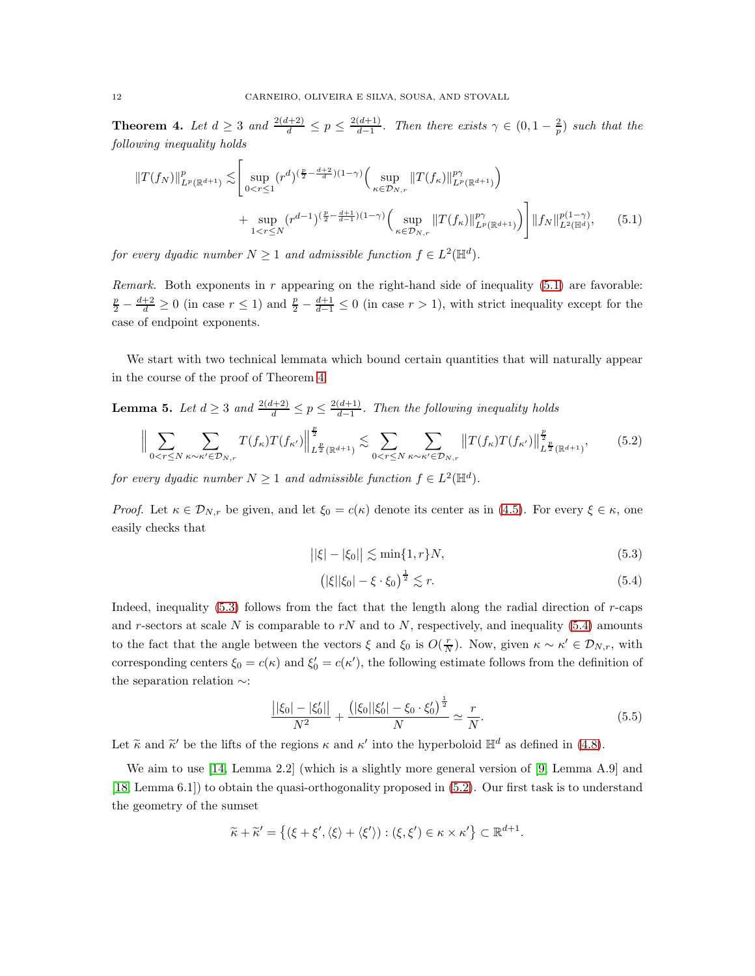<span id="page-11-0"></span>**Theorem 4.** Let  $d \geq 3$  and  $\frac{2(d+2)}{d} \leq p \leq \frac{2(d+1)}{d-1}$  $\frac{(d+1)}{d-1}$ . Then there exists  $\gamma \in (0, 1-\frac{2}{p})$  such that the following inequality holds

$$
||T(f_N)||_{L^p(\mathbb{R}^{d+1})}^p \lesssim \left[ \sup_{0 < r \le 1} (r^d)^{(\frac{p}{2} - \frac{d+2}{d})(1-\gamma)} \left( \sup_{\kappa \in \mathcal{D}_{N,r}} ||T(f_\kappa)||_{L^p(\mathbb{R}^{d+1})}^{p\gamma} \right) \right] + \sup_{1 < r \le N} (r^{d-1})^{(\frac{p}{2} - \frac{d+1}{d-1})(1-\gamma)} \left( \sup_{\kappa \in \mathcal{D}_{N,r}} ||T(f_\kappa)||_{L^p(\mathbb{R}^{d+1})}^{p\gamma} \right) \Big] ||f_N||_{L^2(\mathbb{H}^d)}^{p(1-\gamma)}, \tag{5.1}
$$

for every dyadic number  $N \geq 1$  and admissible function  $f \in L^2(\mathbb{H}^d)$ .

*Remark.* Both exponents in  $r$  appearing on the right-hand side of inequality  $(5.1)$  are favorable:  $\frac{p}{d} - \frac{d+2}{d} \ge 0$  (in case  $r \le 1$ ) and  $\frac{p}{2} - \frac{d+1}{d-1} \le 0$  (in case  $r > 1$ ), with strict inequality except for the case of endpoint exponents.

We start with two technical lemmata which bound certain quantities that will naturally appear in the course of the proof of Theorem [4.](#page-11-0)

<span id="page-11-6"></span>**Lemma 5.** Let  $d \ge 3$  and  $\frac{2(d+2)}{d} \le p \le \frac{2(d+1)}{d-1}$  $\frac{(a+1)}{d-1}$ . Then the following inequality holds

<span id="page-11-4"></span>
$$
\Big\| \sum_{0 < r \le N} \sum_{\kappa \sim \kappa' \in \mathcal{D}_{N,r}} T(f_{\kappa}) T(f_{\kappa'}) \Big\|_{L^{\frac{p}{2}}(\mathbb{R}^{d+1})}^{\frac{p}{2}} \lesssim \sum_{0 < r \le N} \sum_{\kappa \sim \kappa' \in \mathcal{D}_{N,r}} \left\| T(f_{\kappa}) T(f_{\kappa'}) \right\|_{L^{\frac{p}{2}}(\mathbb{R}^{d+1})}^{\frac{p}{2}},\tag{5.2}
$$

for every dyadic number  $N \geq 1$  and admissible function  $f \in L^2(\mathbb{H}^d)$ .

*Proof.* Let  $\kappa \in \mathcal{D}_{N,r}$  be given, and let  $\xi_0 = c(\kappa)$  denote its center as in [\(4.5\)](#page-7-1). For every  $\xi \in \kappa$ , one easily checks that

<span id="page-11-1"></span>
$$
||\xi| - |\xi_0|| \lesssim \min\{1, r\}N,\tag{5.3}
$$

<span id="page-11-3"></span><span id="page-11-2"></span>
$$
\left(|\xi||\xi_0| - \xi \cdot \xi_0\right)^{\frac{1}{2}} \lesssim r. \tag{5.4}
$$

Indeed, inequality  $(5.3)$  follows from the fact that the length along the radial direction of r-caps and r-sectors at scale N is comparable to rN and to N, respectively, and inequality  $(5.4)$  amounts to the fact that the angle between the vectors  $\xi$  and  $\xi_0$  is  $O(\frac{r}{N})$ . Now, given  $\kappa \sim \kappa' \in \mathcal{D}_{N,r}$ , with corresponding centers  $\xi_0 = c(\kappa)$  and  $\xi'_0 = c(\kappa')$ , the following estimate follows from the definition of the separation relation ∼:

<span id="page-11-5"></span>
$$
\frac{||\xi_0| - |\xi'_0||}{N^2} + \frac{(|\xi_0||\xi'_0| - \xi_0 \cdot \xi'_0)^{\frac{1}{2}}}{N} \simeq \frac{r}{N}.
$$
\n(5.5)

Let  $\tilde{\kappa}$  and  $\tilde{\kappa}'$  be the lifts of the regions  $\kappa$  and  $\kappa'$  into the hyperboloid  $\mathbb{H}^d$  as defined in [\(4.8\)](#page-8-2).

We aim to use [\[14,](#page-19-7) Lemma 2.2] (which is a slightly more general version of [\[9,](#page-19-12) Lemma A.9] and [\[18,](#page-19-10) Lemma 6.1]) to obtain the quasi-orthogonality proposed in [\(5.2\)](#page-11-4). Our first task is to understand the geometry of the sumset

$$
\widetilde{\kappa} + \widetilde{\kappa}' = \left\{ (\xi + \xi', \langle \xi \rangle + \langle \xi' \rangle) : (\xi, \xi') \in \kappa \times \kappa' \right\} \subset \mathbb{R}^{d+1}.
$$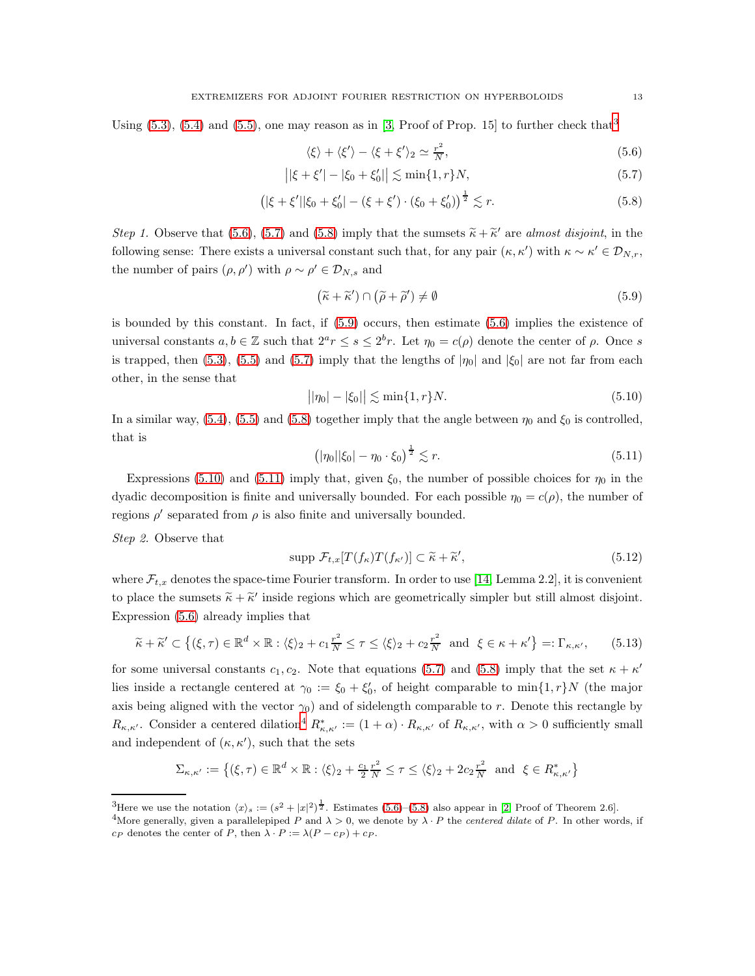Using  $(5.3)$  $(5.3)$  $(5.3)$ ,  $(5.4)$  and  $(5.5)$ , one may reason as in [\[3,](#page-18-0) Proof of Prop. 15] to further check that<sup>3</sup>

<span id="page-12-3"></span><span id="page-12-2"></span><span id="page-12-1"></span>
$$
\langle \xi \rangle + \langle \xi' \rangle - \langle \xi + \xi' \rangle_2 \simeq \frac{r^2}{N},\tag{5.6}
$$

$$
||\xi + \xi'| - |\xi_0 + \xi'_0|| \lesssim \min\{1, r\}N,\tag{5.7}
$$

$$
\left( |\xi + \xi'| |\xi_0 + \xi'_0| - (\xi + \xi') \cdot (\xi_0 + \xi'_0) \right)^{\frac{1}{2}} \lesssim r.
$$
\n(5.8)

Step 1. Observe that [\(5.6\)](#page-12-1), [\(5.7\)](#page-12-2) and [\(5.8\)](#page-12-3) imply that the sumsets  $\tilde{\kappa} + \tilde{\kappa}'$  are almost disjoint, in the following sense: There exists a universal constant such that, for any pair  $(\kappa, \kappa')$  with  $\kappa \sim \kappa' \in \mathcal{D}_{N,r}$ , the number of pairs  $(\rho, \rho')$  with  $\rho \sim \rho' \in \mathcal{D}_{N,s}$  and

<span id="page-12-4"></span>
$$
(\tilde{\kappa} + \tilde{\kappa}') \cap (\tilde{\rho} + \tilde{\rho}') \neq \emptyset \tag{5.9}
$$

is bounded by this constant. In fact, if [\(5.9\)](#page-12-4) occurs, then estimate [\(5.6\)](#page-12-1) implies the existence of universal constants  $a, b \in \mathbb{Z}$  such that  $2^a r \leq s \leq 2^b r$ . Let  $\eta_0 = c(\rho)$  denote the center of  $\rho$ . Once s is trapped, then [\(5.3\)](#page-11-2), [\(5.5\)](#page-11-5) and [\(5.7\)](#page-12-2) imply that the lengths of  $|\eta_0|$  and  $|\xi_0|$  are not far from each other, in the sense that

<span id="page-12-5"></span>
$$
||\eta_0| - |\xi_0|| \lesssim \min\{1, r\} N. \tag{5.10}
$$

In a similar way,  $(5.4)$ ,  $(5.5)$  and  $(5.8)$  together imply that the angle between  $\eta_0$  and  $\xi_0$  is controlled, that is

<span id="page-12-6"></span>
$$
(|\eta_0||\xi_0| - \eta_0 \cdot \xi_0)^{\frac{1}{2}} \lesssim r.
$$
 (5.11)

Expressions [\(5.10\)](#page-12-5) and [\(5.11\)](#page-12-6) imply that, given  $\xi_0$ , the number of possible choices for  $\eta_0$  in the dyadic decomposition is finite and universally bounded. For each possible  $\eta_0 = c(\rho)$ , the number of regions  $\rho'$  separated from  $\rho$  is also finite and universally bounded.

Step 2. Observe that

<span id="page-12-9"></span>
$$
\text{supp }\mathcal{F}_{t,x}[T(f_{\kappa})T(f_{\kappa'})] \subset \widetilde{\kappa} + \widetilde{\kappa}',\tag{5.12}
$$

where  $\mathcal{F}_{t,x}$  denotes the space-time Fourier transform. In order to use [\[14,](#page-19-7) Lemma 2.2], it is convenient to place the sumsets  $\tilde{\kappa} + \tilde{\kappa}'$  inside regions which are geometrically simpler but still almost disjoint. Expression [\(5.6\)](#page-12-1) already implies that

<span id="page-12-8"></span>
$$
\widetilde{\kappa} + \widetilde{\kappa}' \subset \left\{ (\xi, \tau) \in \mathbb{R}^d \times \mathbb{R} : \langle \xi \rangle_2 + c_1 \frac{\tau^2}{N} \le \tau \le \langle \xi \rangle_2 + c_2 \frac{\tau^2}{N} \text{ and } \xi \in \kappa + \kappa' \right\} =: \Gamma_{\kappa, \kappa'}, \tag{5.13}
$$

for some universal constants  $c_1, c_2$ . Note that equations [\(5.7\)](#page-12-2) and [\(5.8\)](#page-12-3) imply that the set  $\kappa + \kappa'$ lies inside a rectangle centered at  $\gamma_0 := \xi_0 + \xi'_0$ , of height comparable to  $\min\{1, r\}$  (the major axis being aligned with the vector  $\gamma_0$ ) and of sidelength comparable to r. Denote this rectangle by  $R_{\kappa,\kappa'}$ . Consider a centered dilation<sup>[4](#page-12-7)</sup>  $R_{\kappa,\kappa'}^* := (1+\alpha) \cdot R_{\kappa,\kappa'}$  of  $R_{\kappa,\kappa'}$ , with  $\alpha > 0$  sufficiently small and independent of  $(\kappa, \kappa')$ , such that the sets

$$
\Sigma_{\kappa,\kappa'} := \left\{ (\xi,\tau) \in \mathbb{R}^d \times \mathbb{R} : \langle \xi \rangle_2 + \frac{c_1}{2} \frac{r^2}{N} \le \tau \le \langle \xi \rangle_2 + 2c_2 \frac{r^2}{N} \text{ and } \xi \in R^*_{\kappa,\kappa'} \right\}
$$

<sup>&</sup>lt;sup>3</sup>Here we use the notation  $\langle x \rangle_s := (s^2 + |x|^2)^{\frac{1}{2}}$ . Estimates [\(5.6\)](#page-12-1)–[\(5.8\)](#page-12-3) also appear in [\[2,](#page-18-1) Proof of Theorem 2.6].

<span id="page-12-7"></span><span id="page-12-0"></span><sup>&</sup>lt;sup>4</sup>More generally, given a parallelepiped P and  $\lambda > 0$ , we denote by  $\lambda \cdot P$  the *centered dilate* of P. In other words, if  $c_P$  denotes the center of P, then  $\lambda \cdot P := \lambda (P - c_P) + c_P$ .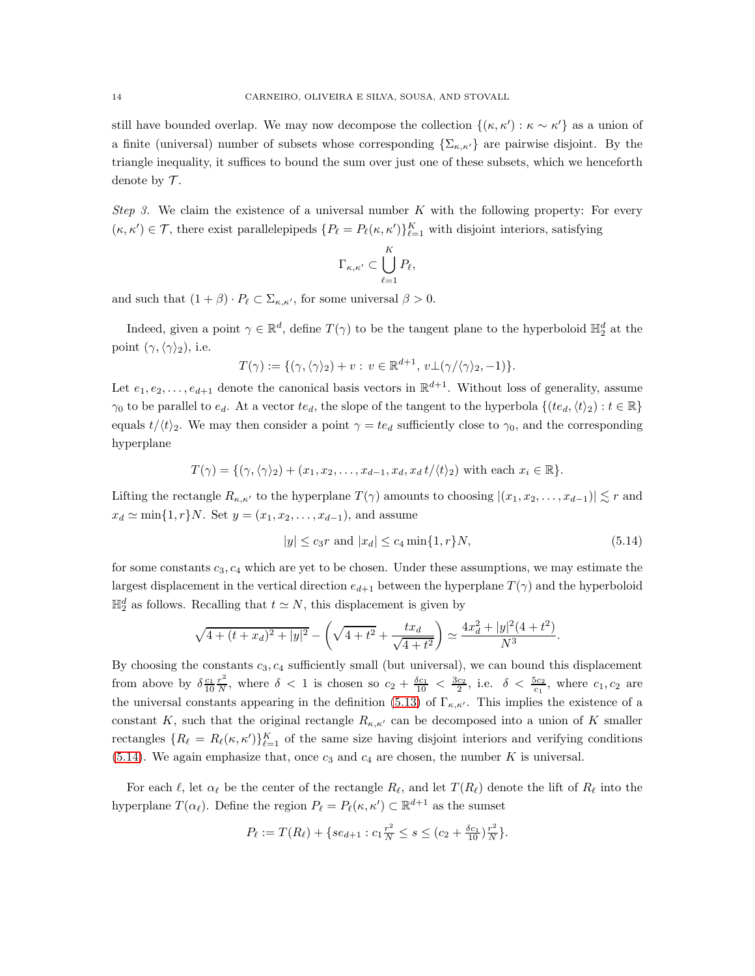still have bounded overlap. We may now decompose the collection  $\{(\kappa, \kappa') : \kappa \sim \kappa'\}$  as a union of a finite (universal) number of subsets whose corresponding  $\{\Sigma_{\kappa,\kappa'}\}$  are pairwise disjoint. By the triangle inequality, it suffices to bound the sum over just one of these subsets, which we henceforth denote by  $\mathcal T$ .

Step 3. We claim the existence of a universal number K with the following property: For every  $(\kappa, \kappa') \in \mathcal{T}$ , there exist parallelepipeds  $\{P_\ell = P_\ell(\kappa, \kappa')\}_{\ell=1}^K$  with disjoint interiors, satisfying

$$
\Gamma_{\kappa,\kappa'}\subset \bigcup_{\ell=1}^K P_\ell,
$$

and such that  $(1 + \beta) \cdot P_\ell \subset \Sigma_{\kappa,\kappa'}$ , for some universal  $\beta > 0$ .

Indeed, given a point  $\gamma \in \mathbb{R}^d$ , define  $T(\gamma)$  to be the tangent plane to the hyperboloid  $\mathbb{H}_2^d$  at the point  $(\gamma, \langle \gamma \rangle_2)$ , i.e.

$$
T(\gamma) := \{(\gamma, \langle \gamma \rangle_2) + v : v \in \mathbb{R}^{d+1}, v \perp (\gamma/\langle \gamma \rangle_2, -1) \}.
$$

Let  $e_1, e_2, \ldots, e_{d+1}$  denote the canonical basis vectors in  $\mathbb{R}^{d+1}$ . Without loss of generality, assume  $\gamma_0$  to be parallel to  $e_d$ . At a vector  $te_d$ , the slope of the tangent to the hyperbola  $\{(te_d,\langle t \rangle_2) : t \in \mathbb{R}\}\$ equals  $t/\langle t \rangle_2$ . We may then consider a point  $\gamma = te_d$  sufficiently close to  $\gamma_0$ , and the corresponding hyperplane

$$
T(\gamma) = \{(\gamma, \langle \gamma \rangle_2) + (x_1, x_2, \dots, x_{d-1}, x_d, x_d t/\langle t \rangle_2) \text{ with each } x_i \in \mathbb{R}\}.
$$

Lifting the rectangle  $R_{\kappa,\kappa'}$  to the hyperplane  $T(\gamma)$  amounts to choosing  $|(x_1, x_2, \ldots, x_{d-1})| \lesssim r$  and  $x_d \simeq \min\{1, r\}N$ . Set  $y = (x_1, x_2, \ldots, x_{d-1})$ , and assume

<span id="page-13-0"></span>
$$
|y| \le c_3 r \text{ and } |x_d| \le c_4 \min\{1, r\} N,\tag{5.14}
$$

for some constants  $c_3, c_4$  which are yet to be chosen. Under these assumptions, we may estimate the largest displacement in the vertical direction  $e_{d+1}$  between the hyperplane  $T(\gamma)$  and the hyperboloid  $\mathbb{H}_2^d$  as follows. Recalling that  $t \simeq N$ , this displacement is given by

$$
\sqrt{4 + (t + x_d)^2 + |y|^2} - \left(\sqrt{4 + t^2} + \frac{tx_d}{\sqrt{4 + t^2}}\right) \simeq \frac{4x_d^2 + |y|^2(4 + t^2)}{N^3}.
$$

By choosing the constants  $c_3, c_4$  sufficiently small (but universal), we can bound this displacement from above by  $\delta \frac{c_1}{10} \frac{r^2}{N}$  $\frac{r^2}{N}$ , where  $\delta$  < 1 is chosen so  $c_2 + \frac{\delta c_1}{10} < \frac{3c_2}{2}$ , i.e.  $\delta < \frac{5c_2}{c_1}$ , where  $c_1, c_2$  are the universal constants appearing in the definition [\(5.13\)](#page-12-8) of  $\Gamma_{\kappa,\kappa'}$ . This implies the existence of a constant K, such that the original rectangle  $R_{\kappa,\kappa'}$  can be decomposed into a union of K smaller rectangles  $\{R_\ell = R_\ell(\kappa, \kappa')\}_{\ell=1}^K$  of the same size having disjoint interiors and verifying conditions  $(5.14)$ . We again emphasize that, once  $c_3$  and  $c_4$  are chosen, the number K is universal.

For each  $\ell$ , let  $\alpha_{\ell}$  be the center of the rectangle  $R_{\ell}$ , and let  $T(R_{\ell})$  denote the lift of  $R_{\ell}$  into the hyperplane  $T(\alpha_{\ell})$ . Define the region  $P_{\ell} = P_{\ell}(\kappa, \kappa') \subset \mathbb{R}^{d+1}$  as the sumset

$$
P_{\ell} := T(R_{\ell}) + \{se_{d+1} : c_1 \frac{r^2}{N} \le s \le (c_2 + \frac{\delta c_1}{10}) \frac{r^2}{N} \}.
$$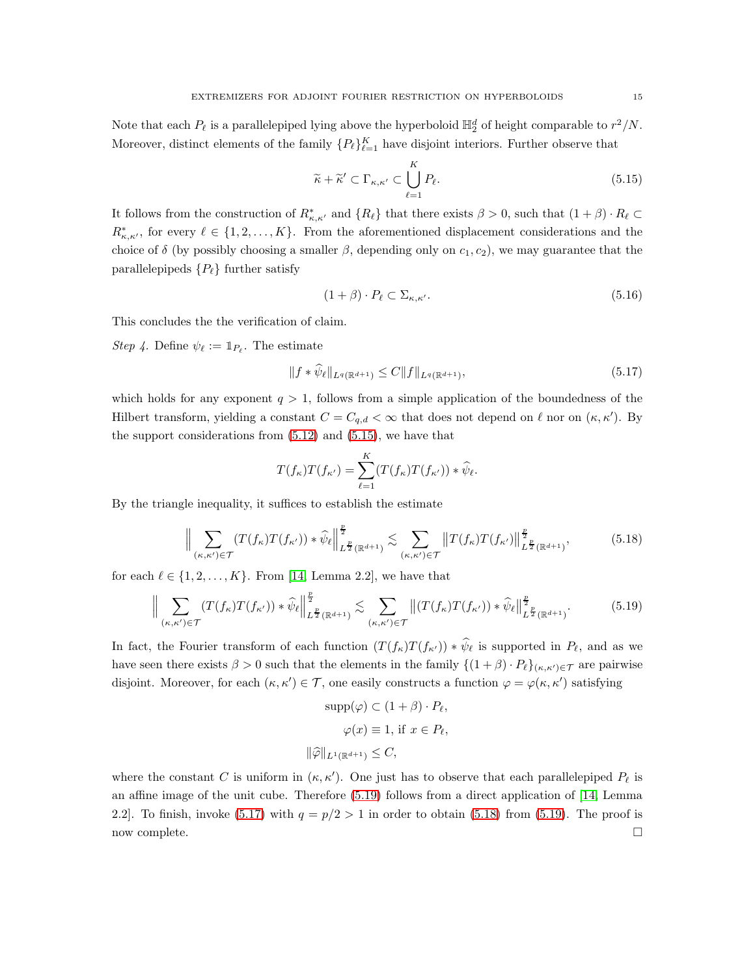Note that each  $P_{\ell}$  is a parallelepiped lying above the hyperboloid  $\mathbb{H}_2^d$  of height comparable to  $r^2/N$ . Moreover, distinct elements of the family  ${P_{\ell}}_{\ell=1}^{K}$  have disjoint interiors. Further observe that

<span id="page-14-0"></span>
$$
\widetilde{\kappa} + \widetilde{\kappa}' \subset \Gamma_{\kappa,\kappa'} \subset \bigcup_{\ell=1}^K P_{\ell}.\tag{5.15}
$$

It follows from the construction of  $R^*_{\kappa,\kappa'}$  and  $\{R_\ell\}$  that there exists  $\beta > 0$ , such that  $(1 + \beta) \cdot R_\ell \subset$  $R^*_{\kappa,\kappa'}$ , for every  $\ell \in \{1,2,\ldots,K\}$ . From the aforementioned displacement considerations and the choice of  $\delta$  (by possibly choosing a smaller  $\beta$ , depending only on  $c_1, c_2$ ), we may guarantee that the parallelepipeds  $\{P_\ell\}$  further satisfy

$$
(1+\beta) \cdot P_{\ell} \subset \Sigma_{\kappa,\kappa'}.\tag{5.16}
$$

This concludes the the verification of claim.

Step 4. Define  $\psi_{\ell} := \mathbb{1}_{P_{\ell}}$ . The estimate

<span id="page-14-2"></span>
$$
||f * \psi_{\ell}||_{L^{q}(\mathbb{R}^{d+1})} \leq C||f||_{L^{q}(\mathbb{R}^{d+1})},\tag{5.17}
$$

which holds for any exponent  $q > 1$ , follows from a simple application of the boundedness of the Hilbert transform, yielding a constant  $C = C_{q,d} < \infty$  that does not depend on  $\ell$  nor on  $(\kappa, \kappa')$ . By the support considerations from  $(5.12)$  and  $(5.15)$ , we have that

$$
T(f_{\kappa})T(f_{\kappa'})=\sum_{\ell=1}^K(T(f_{\kappa})T(f_{\kappa'}))*\widehat{\psi}_{\ell}.
$$

By the triangle inequality, it suffices to establish the estimate

<span id="page-14-3"></span>
$$
\Big\| \sum_{(\kappa,\kappa') \in \mathcal{T}} (T(f_{\kappa})T(f_{\kappa'})) * \widehat{\psi}_{\ell} \Big\|_{L^{\frac{p}{2}}(\mathbb{R}^{d+1})}^{\frac{p}{2}} \lesssim \sum_{(\kappa,\kappa') \in \mathcal{T}} \left\| T(f_{\kappa})T(f_{\kappa'}) \right\|_{L^{\frac{p}{2}}(\mathbb{R}^{d+1})}^{\frac{p}{2}},\tag{5.18}
$$

for each  $\ell \in \{1, 2, ..., K\}$ . From [\[14,](#page-19-7) Lemma 2.2], we have that

<span id="page-14-1"></span>
$$
\Big\| \sum_{(\kappa,\kappa') \in \mathcal{T}} (T(f_{\kappa})T(f_{\kappa'})) \ast \widehat{\psi}_{\ell} \Big\|_{L^{\frac{p}{2}}(\mathbb{R}^{d+1})}^{\frac{p}{2}} \lesssim \sum_{(\kappa,\kappa') \in \mathcal{T}} \left\| (T(f_{\kappa})T(f_{\kappa'})) \ast \widehat{\psi}_{\ell} \right\|_{L^{\frac{p}{2}}(\mathbb{R}^{d+1})}^{\frac{p}{2}}.
$$
 (5.19)

In fact, the Fourier transform of each function  $(T(f_{\kappa})T(f_{\kappa'})) * \hat{\psi}_{\ell}$  is supported in  $P_{\ell}$ , and as we have seen there exists  $\beta > 0$  such that the elements in the family  $\{(1 + \beta) \cdot P_\ell\}_{(\kappa,\kappa')\in\mathcal{T}}$  are pairwise disjoint. Moreover, for each  $(\kappa, \kappa') \in \mathcal{T}$ , one easily constructs a function  $\varphi = \varphi(\kappa, \kappa')$  satisfying

$$
\text{supp}(\varphi) \subset (1 + \beta) \cdot P_{\ell},
$$

$$
\varphi(x) \equiv 1, \text{ if } x \in P_{\ell},
$$

$$
\|\widehat{\varphi}\|_{L^{1}(\mathbb{R}^{d+1})} \leq C,
$$

where the constant C is uniform in  $(\kappa, \kappa')$ . One just has to observe that each parallelepiped  $P_{\ell}$  is an affine image of the unit cube. Therefore [\(5.19\)](#page-14-1) follows from a direct application of [\[14,](#page-19-7) Lemma 2.2]. To finish, invoke [\(5.17\)](#page-14-2) with  $q = p/2 > 1$  in order to obtain [\(5.18\)](#page-14-3) from [\(5.19\)](#page-14-1). The proof is now complete.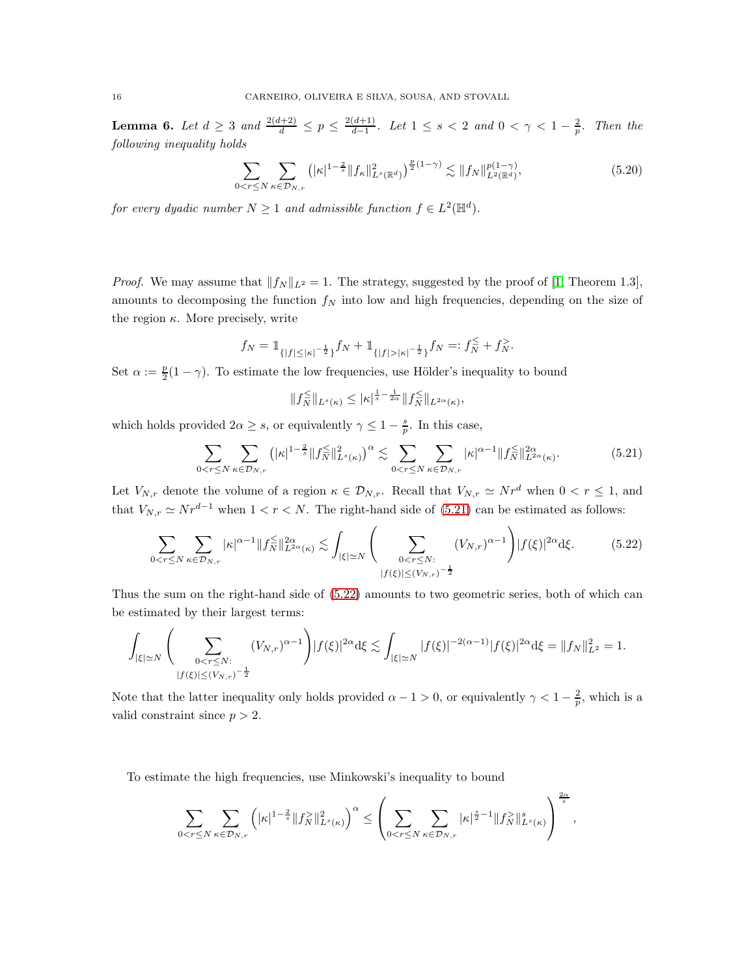<span id="page-15-3"></span>**Lemma 6.** Let  $d \ge 3$  and  $\frac{2(d+2)}{d} \le p \le \frac{2(d+1)}{d-1}$  $\frac{(d+1)}{d-1}$ . Let 1 ≤ s < 2 and 0 <  $\gamma$  < 1 −  $\frac{2}{p}$ . Then the following inequality holds

<span id="page-15-2"></span>
$$
\sum_{0 < r \le N} \sum_{\kappa \in \mathcal{D}_{N,r}} \left( |\kappa|^{1-\frac{2}{s}} \| f_{\kappa} \|_{L^s(\mathbb{R}^d)}^2 \right)^{\frac{p}{2}(1-\gamma)} \lesssim \| f_N \|_{L^2(\mathbb{R}^d)}^{p(1-\gamma)},\tag{5.20}
$$

for every dyadic number  $N \geq 1$  and admissible function  $f \in L^2(\mathbb{H}^d)$ .

*Proof.* We may assume that  $||f_N||_{L^2} = 1$ . The strategy, suggested by the proof of [\[1,](#page-18-2) Theorem 1.3], amounts to decomposing the function  $f_N$  into low and high frequencies, depending on the size of the region  $\kappa$ . More precisely, write

$$
f_N = \mathbb{1}_{\{|f| \le |\kappa|^{-\frac{1}{2}}\}} f_N + \mathbb{1}_{\{|f| > |\kappa|^{-\frac{1}{2}}\}} f_N =: f_N^{\le -1} + f_N^{\ge -1}.
$$

Set  $\alpha := \frac{p}{2}$  $\frac{p}{2}(1-\gamma)$ . To estimate the low frequencies, use Hölder's inequality to bound

$$
||f_N^{\leq}||_{L^s(\kappa)} \leq |\kappa|^{\frac{1}{s} - \frac{1}{2\alpha}}||f_N^{\leq}||_{L^{2\alpha}(\kappa)},
$$

which holds provided  $2\alpha \geq s$ , or equivalently  $\gamma \leq 1 - \frac{s}{p}$ . In this case,

<span id="page-15-0"></span>
$$
\sum_{0 < r \le N} \sum_{\kappa \in \mathcal{D}_{N,r}} \left( |\kappa|^{1-\frac{2}{s}} \| f_N^{\le} \|_{L^s(\kappa)}^2 \right)^{\alpha} \lesssim \sum_{0 < r \le N} \sum_{\kappa \in \mathcal{D}_{N,r}} |\kappa|^{\alpha-1} \| f_N^{\le} \|_{L^{2\alpha}(\kappa)}^{2\alpha}.
$$
\n
$$
\tag{5.21}
$$

Let  $V_{N,r}$  denote the volume of a region  $\kappa \in \mathcal{D}_{N,r}$ . Recall that  $V_{N,r} \simeq N r^d$  when  $0 \lt r \leq 1$ , and that  $V_{N,r} \simeq N r^{d-1}$  when  $1 < r < N$ . The right-hand side of [\(5.21\)](#page-15-0) can be estimated as follows:

<span id="page-15-1"></span>
$$
\sum_{0 < r \le N} \sum_{\kappa \in \mathcal{D}_{N,r}} |\kappa|^{\alpha - 1} \|f_N^{\le \varepsilon}\|_{L^{2\alpha}(\kappa)}^{2\alpha} \lesssim \int_{|\xi| \simeq N} \left( \sum_{\substack{0 < r \le N: \\ |f(\xi)| \le (V_{N,r})^{-\frac{1}{2}}}} (V_{N,r})^{\alpha - 1} \right) |f(\xi)|^{2\alpha} d\xi. \tag{5.22}
$$

Thus the sum on the right-hand side of [\(5.22\)](#page-15-1) amounts to two geometric series, both of which can be estimated by their largest terms:

$$
\int_{|\xi|\simeq N} \Bigg(\sum_{\substack{0 < r \leq N:\\ |f(\xi)| \leq (V_{N,r})^{-\frac{1}{2}}}} (V_{N,r})^{\alpha-1}\Bigg)|f(\xi)|^{2\alpha}\mathrm{d} \xi \lesssim \int_{|\xi|\simeq N} |f(\xi)|^{-2(\alpha-1)}|f(\xi)|^{2\alpha}\mathrm{d} \xi = \|f_N\|_{L^2}^2 = 1.
$$

Note that the latter inequality only holds provided  $\alpha - 1 > 0$ , or equivalently  $\gamma < 1 - \frac{2}{p}$ , which is a valid constraint since  $p > 2$ .

To estimate the high frequencies, use Minkowski's inequality to bound

$$
\sum_{0|\|_{L^s(\kappa)}^2\right)^\alpha\leq \left(\sum_{0|\|_{L^s(\kappa)}^s\right)^{\frac{2\alpha}{s}},
$$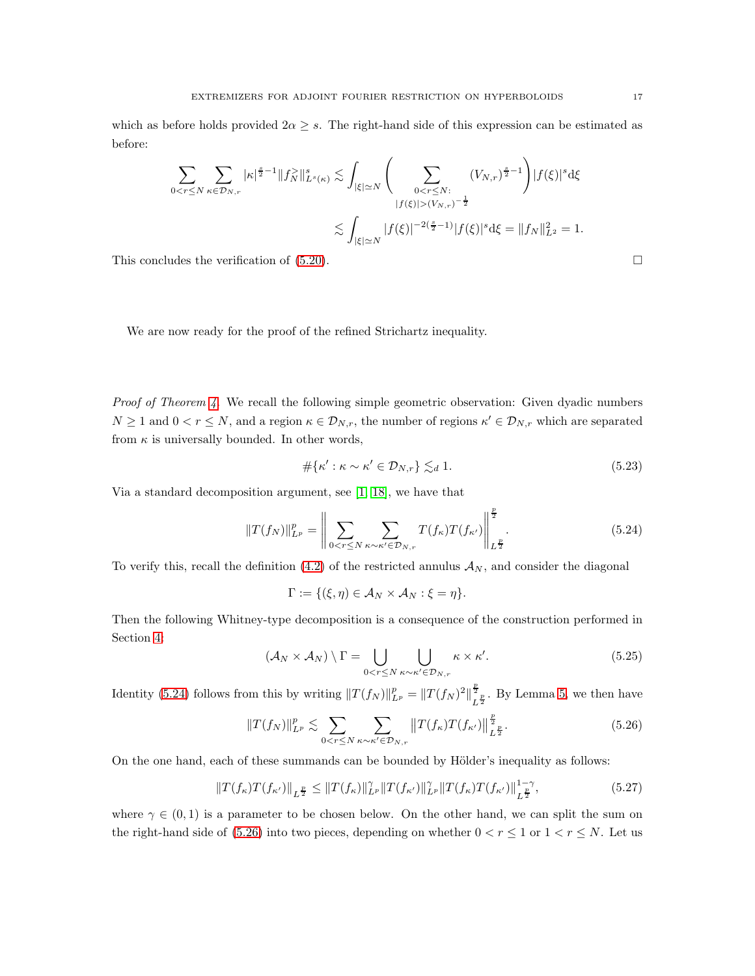which as before holds provided  $2\alpha \geq s$ . The right-hand side of this expression can be estimated as before:

$$
\sum_{0 < r \le N} \sum_{\kappa \in \mathcal{D}_{N,r}} |\kappa|^{\frac{s}{2}-1} \|f_N^> \|_{L^s(\kappa)}^s \lesssim \int_{|\xi| \simeq N} \Big( \sum_{\substack{0 < r \le N: \\ |f(\xi)| > (V_{N,r})^{-\frac{1}{2}}}} (V_{N,r})^{\frac{s}{2}-1} \Big) |f(\xi)|^s d\xi
$$
  

$$
\lesssim \int_{|\xi| \simeq N} |f(\xi)|^{-2(\frac{s}{2}-1)} |f(\xi)|^s d\xi = \|f_N\|_{L^2}^2 = 1.
$$

This concludes the verification of  $(5.20)$ .

We are now ready for the proof of the refined Strichartz inequality.

*Proof of Theorem [4.](#page-11-0)* We recall the following simple geometric observation: Given dyadic numbers  $N \geq 1$  and  $0 < r \leq N$ , and a region  $\kappa \in \mathcal{D}_{N,r}$ , the number of regions  $\kappa' \in \mathcal{D}_{N,r}$  which are separated from  $\kappa$  is universally bounded. In other words,

<span id="page-16-4"></span>
$$
\#\{\kappa': \kappa \sim \kappa' \in \mathcal{D}_{N,r}\}\lesssim_d 1. \tag{5.23}
$$

Via a standard decomposition argument, see [\[1,](#page-18-2) [18\]](#page-19-10), we have that

<span id="page-16-1"></span>
$$
||T(f_N)||_{L^p}^p = \left\| \sum_{0 < r \le N} \sum_{\kappa \sim \kappa' \in \mathcal{D}_{N,r}} T(f_\kappa) T(f_{\kappa'}) \right\|_{L^{\frac{p}{2}}}^{\frac{p}{2}}.
$$
\n(5.24)

To verify this, recall the definition [\(4.2\)](#page-7-2) of the restricted annulus  $A_N$ , and consider the diagonal

$$
\Gamma := \{(\xi, \eta) \in \mathcal{A}_N \times \mathcal{A}_N : \xi = \eta\}.
$$

Then the following Whitney-type decomposition is a consequence of the construction performed in Section [4:](#page-6-0)

<span id="page-16-0"></span>
$$
(\mathcal{A}_N \times \mathcal{A}_N) \setminus \Gamma = \bigcup_{0 < r \le N} \bigcup_{\kappa \sim \kappa' \in \mathcal{D}_{N,r}} \kappa \times \kappa'.\tag{5.25}
$$

Identity [\(5.24\)](#page-16-1) follows from this by writing  $||T(f_N)||_{L^p}^p = ||T(f_N)|_{L^p}^p$  $\frac{\overline{2}}{L^{\frac{p}{2}}}$ . By Lemma [5,](#page-11-6) we then have

<span id="page-16-2"></span>
$$
||T(f_N)||_{L^p}^p \lesssim \sum_{0 < r \le N} \sum_{\kappa \sim \kappa' \in \mathcal{D}_{N,r}} ||T(f_\kappa)T(f_{\kappa'})||_{L^{\frac{p}{2}}}^{\frac{p}{2}}.
$$
\n(5.26)

On the one hand, each of these summands can be bounded by Hölder's inequality as follows:

<span id="page-16-3"></span>
$$
||T(f_{\kappa})T(f_{\kappa'})||_{L^{\frac{p}{2}}} \leq ||T(f_{\kappa})||_{L^p}^{\gamma} ||T(f_{\kappa'})||_{L^p}^{\gamma} ||T(f_{\kappa})T(f_{\kappa'})||_{L^{\frac{p}{2}}}^{1-\gamma}, \tag{5.27}
$$

where  $\gamma \in (0,1)$  is a parameter to be chosen below. On the other hand, we can split the sum on the right-hand side of [\(5.26\)](#page-16-2) into two pieces, depending on whether  $0 < r \leq 1$  or  $1 < r \leq N$ . Let us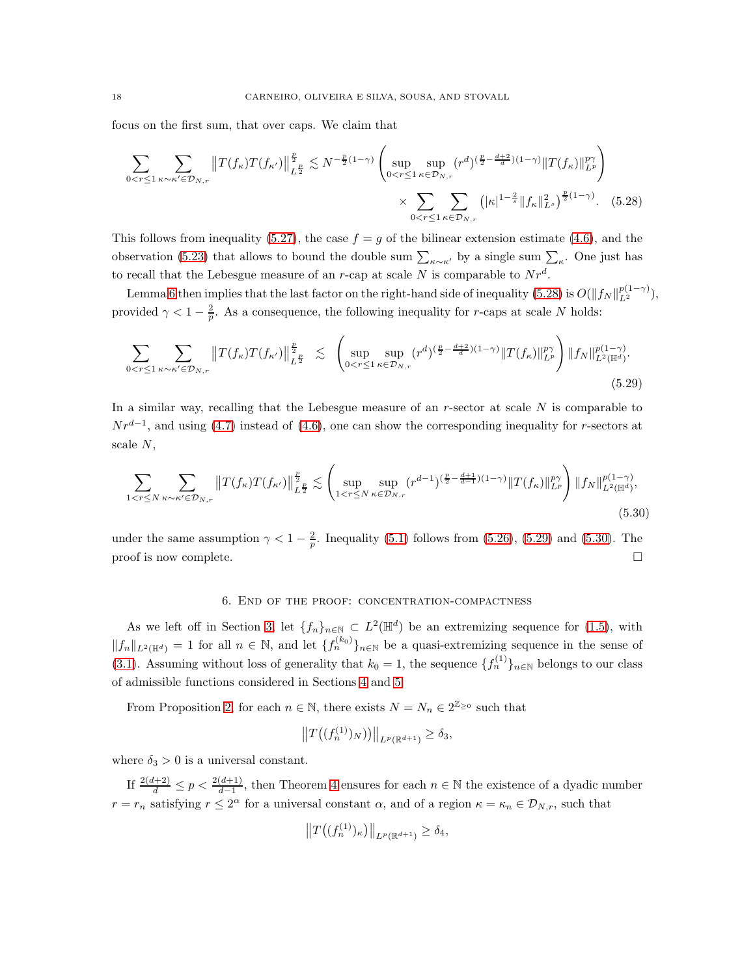focus on the first sum, that over caps. We claim that

<span id="page-17-1"></span>
$$
\sum_{0 < r \leq 1} \sum_{\kappa \sim \kappa' \in \mathcal{D}_{N,r}} \|T(f_{\kappa})T(f_{\kappa'})\|_{L^{\frac{p}{2}}}^{\frac{p}{2}} \lesssim N^{-\frac{p}{2}(1-\gamma)} \left( \sup_{0 < r \leq 1} \sup_{\kappa \in \mathcal{D}_{N,r}} (r^d)^{(\frac{p}{2} - \frac{d+2}{d})(1-\gamma)} \|T(f_{\kappa})\|_{L^p}^{p\gamma} \right) \times \sum_{0 < r \leq 1} \sum_{\kappa \in \mathcal{D}_{N,r}} \left( |\kappa|^{1-\frac{2}{s}} \|f_{\kappa}\|_{L^s}^2 \right)^{\frac{p}{2}(1-\gamma)} . \tag{5.28}
$$

This follows from inequality [\(5.27\)](#page-16-3), the case  $f = g$  of the bilinear extension estimate [\(4.6\)](#page-8-0), and the observation [\(5.23\)](#page-16-4) that allows to bound the double sum  $\sum_{\kappa \sim \kappa'}$  by a single sum  $\sum_{\kappa}$ . One just has to recall that the Lebesgue measure of an r-cap at scale N is comparable to  $Nr^d$ .

Lemma [6](#page-15-3) then implies that the last factor on the right-hand side of inequality [\(5.28\)](#page-17-1) is  $O(||f_N||_{L^2}^{p(1-\gamma)}),$ provided  $\gamma < 1 - \frac{2}{p}$ . As a consequence, the following inequality for r-caps at scale N holds:

$$
\sum_{0 < r \leq 1} \sum_{\kappa \sim \kappa' \in \mathcal{D}_{N,r}} \|T(f_{\kappa})T(f_{\kappa'})\|_{L^{\frac{p}{2}}}^{\frac{p}{2}} \lesssim \left( \sup_{0 < r \leq 1} \sup_{\kappa \in \mathcal{D}_{N,r}} (r^d)^{(\frac{p}{2} - \frac{d+2}{d})(1-\gamma)} \|T(f_{\kappa})\|_{L^p}^{p\gamma} \right) \|f_N\|_{L^2(\mathbb{H}^d)}^{p(1-\gamma)}.
$$
\n
$$
(5.29)
$$

In a similar way, recalling that the Lebesgue measure of an  $r$ -sector at scale  $N$  is comparable to  $Nr^{d-1}$ , and using [\(4.7\)](#page-8-1) instead of [\(4.6\)](#page-8-0), one can show the corresponding inequality for r-sectors at scale N,

$$
\sum_{1 < r \le N} \sum_{\kappa \sim \kappa' \in \mathcal{D}_{N,r}} \|T(f_{\kappa})T(f_{\kappa'})\|_{L^{\frac{p}{2}}}^{\frac{p}{2}} \lesssim \left( \sup_{1 < r \le N} \sup_{\kappa \in \mathcal{D}_{N,r}} (r^{d-1})^{(\frac{p}{2} - \frac{d+1}{d-1})(1-\gamma)} \|T(f_{\kappa})\|_{L^p}^{p\gamma} \right) \|f_N\|_{L^2(\mathbb{H}^d)}^{p(1-\gamma)},\tag{5.30}
$$

<span id="page-17-0"></span>under the same assumption  $\gamma < 1 - \frac{2}{p}$ . Inequality [\(5.1\)](#page-11-1) follows from [\(5.26\)](#page-16-2), [\(5.29\)](#page-17-2) and [\(5.30\)](#page-17-3). The proof is now complete.  $\Box$ 

### <span id="page-17-2"></span>6. End of the proof: concentration-compactness

As we left off in Section [3,](#page-5-0) let  $\{f_n\}_{n\in\mathbb{N}}\subset L^2(\mathbb{H}^d)$  be an extremizing sequence for [\(1.5\)](#page-1-0), with  $||f_n||_{L^2(\mathbb{H}^d)} = 1$  for all  $n \in \mathbb{N}$ , and let  $\{f_n^{(k_0)}\}_{n \in \mathbb{N}}$  be a quasi-extremizing sequence in the sense of [\(3.1\)](#page-6-1). Assuming without loss of generality that  $k_0 = 1$ , the sequence  $\{f_n^{(1)}\}_{n \in \mathbb{N}}$  belongs to our class of admissible functions considered in Sections [4](#page-6-0) and [5.](#page-10-0)

From Proposition [2,](#page-4-2) for each  $n \in \mathbb{N}$ , there exists  $N = N_n \in 2^{\mathbb{Z}_{\geq 0}}$  such that

<span id="page-17-3"></span>
$$
||T((f_n^{(1)})_N)||_{L^p(\mathbb{R}^{d+1})} \ge \delta_3,
$$

where  $\delta_3 > 0$  is a universal constant.

If  $\frac{2(d+2)}{d} \leq p < \frac{2(d+1)}{d-1}$ , then Theorem [4](#page-11-0) ensures for each  $n \in \mathbb{N}$  the existence of a dyadic number  $r = r_n$  satisfying  $r \leq 2^{\alpha}$  for a universal constant  $\alpha$ , and of a region  $\kappa = \kappa_n \in \mathcal{D}_{N,r}$ , such that

$$
||T((f_n^{(1)})_\kappa)||_{L^p(\mathbb{R}^{d+1})} \ge \delta_4,
$$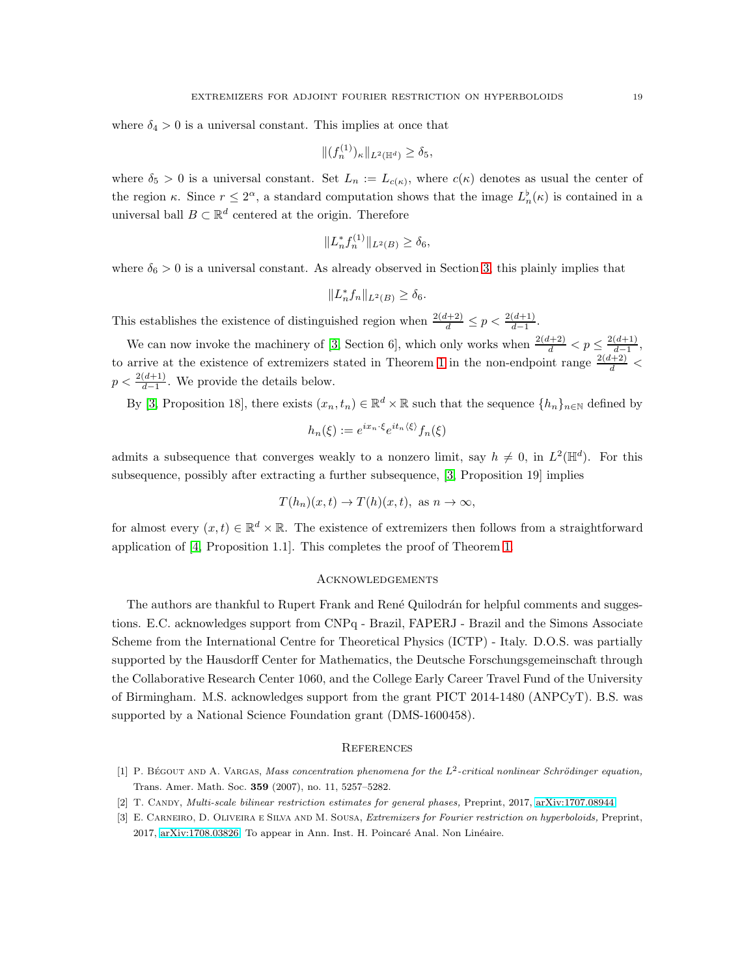where  $\delta_4 > 0$  is a universal constant. This implies at once that

$$
|| (f_n^{(1)})_\kappa ||_{L^2(\mathbb{H}^d)} \ge \delta_5,
$$

where  $\delta_5 > 0$  is a universal constant. Set  $L_n := L_{c(\kappa)}$ , where  $c(\kappa)$  denotes as usual the center of the region  $\kappa$ . Since  $r \leq 2^{\alpha}$ , a standard computation shows that the image  $L_n^{\flat}(\kappa)$  is contained in a universal ball  $B \subset \mathbb{R}^d$  centered at the origin. Therefore

$$
||L_n^* f_n^{(1)}||_{L^2(B)} \ge \delta_6,
$$

where  $\delta_6 > 0$  is a universal constant. As already observed in Section [3,](#page-5-0) this plainly implies that

$$
||L_n^* f_n||_{L^2(B)} \ge \delta_6.
$$

This establishes the existence of distinguished region when  $\frac{2(d+2)}{d} \leq p < \frac{2(d+1)}{d-1}$ .

We can now invoke the machinery of [\[3,](#page-18-0) Section 6], which only works when  $\frac{2(d+2)}{d} < p \leq \frac{2(d+1)}{d-1}$  $\frac{(a+1)}{d-1},$ to arrive at the existence of extremizers stated in Theorem [1](#page-2-0) in the non-endpoint range  $\frac{2(d+2)}{d}$  <  $p < \frac{2(d+1)}{d-1}$ . We provide the details below.

By [\[3,](#page-18-0) Proposition 18], there exists  $(x_n, t_n) \in \mathbb{R}^d \times \mathbb{R}$  such that the sequence  $\{h_n\}_{n\in\mathbb{N}}$  defined by

$$
h_n(\xi) := e^{ix_n \cdot \xi} e^{it_n \langle \xi \rangle} f_n(\xi)
$$

admits a subsequence that converges weakly to a nonzero limit, say  $h \neq 0$ , in  $L^2(\mathbb{H}^d)$ . For this subsequence, possibly after extracting a further subsequence, [\[3,](#page-18-0) Proposition 19] implies

$$
T(h_n)(x,t) \to T(h)(x,t)
$$
, as  $n \to \infty$ ,

for almost every  $(x, t) \in \mathbb{R}^d \times \mathbb{R}$ . The existence of extremizers then follows from a straightforward application of [\[4,](#page-19-13) Proposition 1.1]. This completes the proof of Theorem [1.](#page-2-0)

### **ACKNOWLEDGEMENTS**

The authors are thankful to Rupert Frank and René Quilodrán for helpful comments and suggestions. E.C. acknowledges support from CNPq - Brazil, FAPERJ - Brazil and the Simons Associate Scheme from the International Centre for Theoretical Physics (ICTP) - Italy. D.O.S. was partially supported by the Hausdorff Center for Mathematics, the Deutsche Forschungsgemeinschaft through the Collaborative Research Center 1060, and the College Early Career Travel Fund of the University of Birmingham. M.S. acknowledges support from the grant PICT 2014-1480 (ANPCyT). B.S. was supported by a National Science Foundation grant (DMS-1600458).

#### **REFERENCES**

- <span id="page-18-2"></span><span id="page-18-1"></span>[1] P. BÉGOUT AND A. VARGAS, *Mass concentration phenomena for the*  $L^2$ -critical nonlinear Schrödinger equation, Trans. Amer. Math. Soc. 359 (2007), no. 11, 5257–5282.
- <span id="page-18-0"></span>[2] T. Candy, *Multi-scale bilinear restriction estimates for general phases,* Preprint, 2017, [arXiv:1707.08944.](http://arxiv.org/abs/1707.08944)
- [3] E. Carneiro, D. Oliveira e Silva and M. Sousa, *Extremizers for Fourier restriction on hyperboloids,* Preprint, 2017, [arXiv:1708.03826.](http://arxiv.org/abs/1708.03826) To appear in Ann. Inst. H. Poincaré Anal. Non Linéaire.